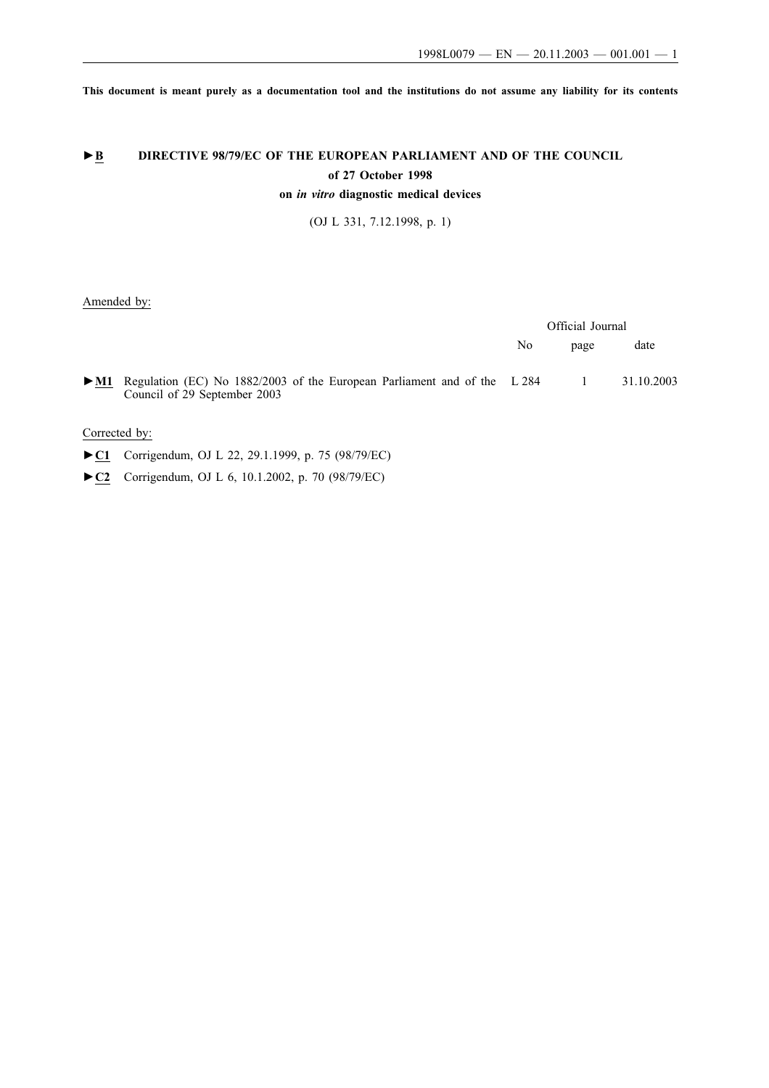**This document is meant purely as a documentation tool and the institutions do not assume any liability for its contents**

# ►**B** DIRECTIVE 98/79/EC OF THE EUROPEAN PARLIAMENT AND OF THE COUNCIL **of 27 October 1998**

**on** *in vitro* **diagnostic medical devices**

(OJ L 331, 7.12.1998, p. 1)

Amended by:

|                          |                                                                                                          | Official Journal |          |            |
|--------------------------|----------------------------------------------------------------------------------------------------------|------------------|----------|------------|
|                          |                                                                                                          | No               | page     | date       |
| $\blacktriangleright$ M1 | Regulation (EC) No 1882/2003 of the European Parliament and of the L 284<br>Council of 29 September 2003 |                  | $\sim$ 1 | 31.10.2003 |

Corrected by:

- **►C1** Corrigendum, OJ L 22, 29.1.1999, p. 75 (98/79/EC)
- **►C2** Corrigendum, OJ L 6, 10.1.2002, p. 70 (98/79/EC)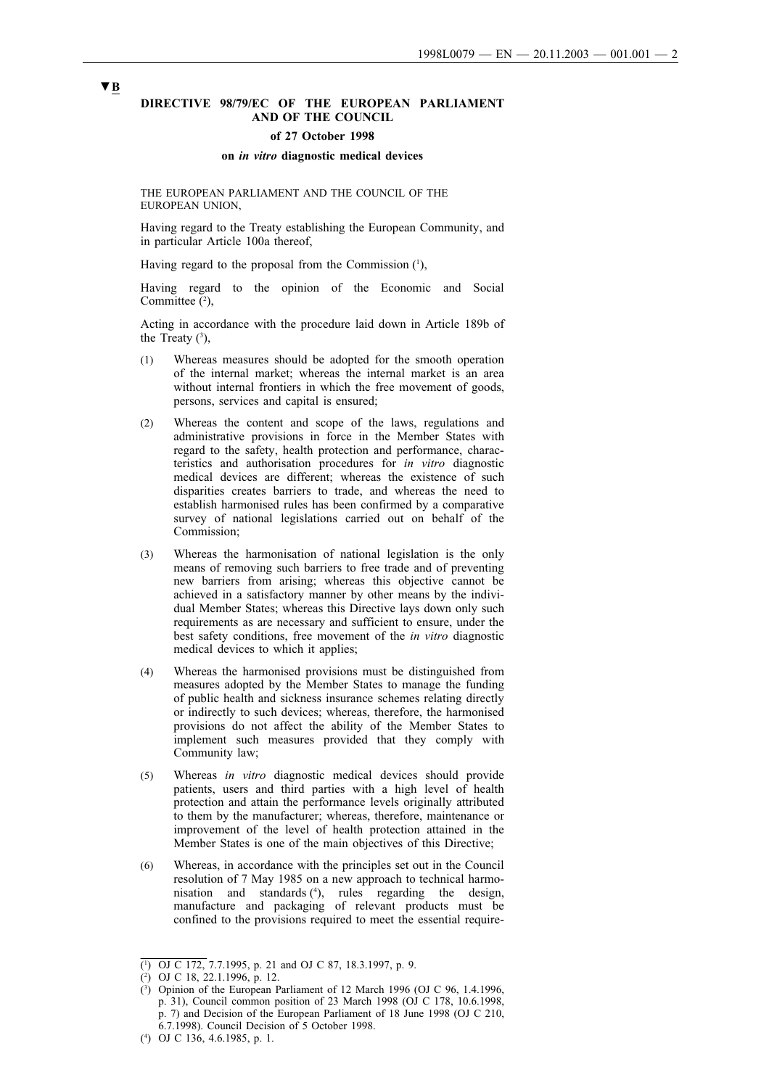### **DIRECTIVE 98/79/EC OF THE EUROPEAN PARLIAMENT AND OF THE COUNCIL**

#### **of 27 October 1998**

#### **on** *in vitro* **diagnostic medical devices**

THE EUROPEAN PARLIAMENT AND THE COUNCIL OF THE EUROPEAN UNION,

Having regard to the Treaty establishing the European Community, and in particular Article 100a thereof,

Having regard to the proposal from the Commission  $(1)$ ,

Having regard to the opinion of the Economic and Social Committee  $(2)$ ,

Acting in accordance with the procedure laid down in Article 189b of the Treaty  $(3)$ ,

- (1) Whereas measures should be adopted for the smooth operation of the internal market; whereas the internal market is an area without internal frontiers in which the free movement of goods, persons, services and capital is ensured;
- (2) Whereas the content and scope of the laws, regulations and administrative provisions in force in the Member States with regard to the safety, health protection and performance, characteristics and authorisation procedures for *in vitro* diagnostic medical devices are different; whereas the existence of such disparities creates barriers to trade, and whereas the need to establish harmonised rules has been confirmed by a comparative survey of national legislations carried out on behalf of the Commission;
- (3) Whereas the harmonisation of national legislation is the only means of removing such barriers to free trade and of preventing new barriers from arising; whereas this objective cannot be achieved in a satisfactory manner by other means by the individual Member States; whereas this Directive lays down only such requirements as are necessary and sufficient to ensure, under the best safety conditions, free movement of the *in vitro* diagnostic medical devices to which it applies;
- (4) Whereas the harmonised provisions must be distinguished from measures adopted by the Member States to manage the funding of public health and sickness insurance schemes relating directly or indirectly to such devices; whereas, therefore, the harmonised provisions do not affect the ability of the Member States to implement such measures provided that they comply with Community law;
- (5) Whereas *in vitro* diagnostic medical devices should provide patients, users and third parties with a high level of health protection and attain the performance levels originally attributed to them by the manufacturer; whereas, therefore, maintenance or improvement of the level of health protection attained in the Member States is one of the main objectives of this Directive;
- (6) Whereas, in accordance with the principles set out in the Council resolution of 7 May 1985 on a new approach to technical harmonisation and standards (4 ), rules regarding the design, manufacture and packaging of relevant products must be confined to the provisions required to meet the essential require-

<sup>(</sup> 1 ) OJ C 172, 7.7.1995, p. 21 and OJ C 87, 18.3.1997, p. 9.

<sup>(</sup> 2 ) OJ C 18, 22.1.1996, p. 12.

<sup>(</sup> 3 ) Opinion of the European Parliament of 12 March 1996 (OJ C 96, 1.4.1996, p. 31), Council common position of 23 March 1998 (OJ C 178, 10.6.1998, p. 7) and Decision of the European Parliament of 18 June 1998 (OJ C 210, 6.7.1998). Council Decision of 5 October 1998.

<sup>(4</sup> ) OJ C 136, 4.6.1985, p. 1.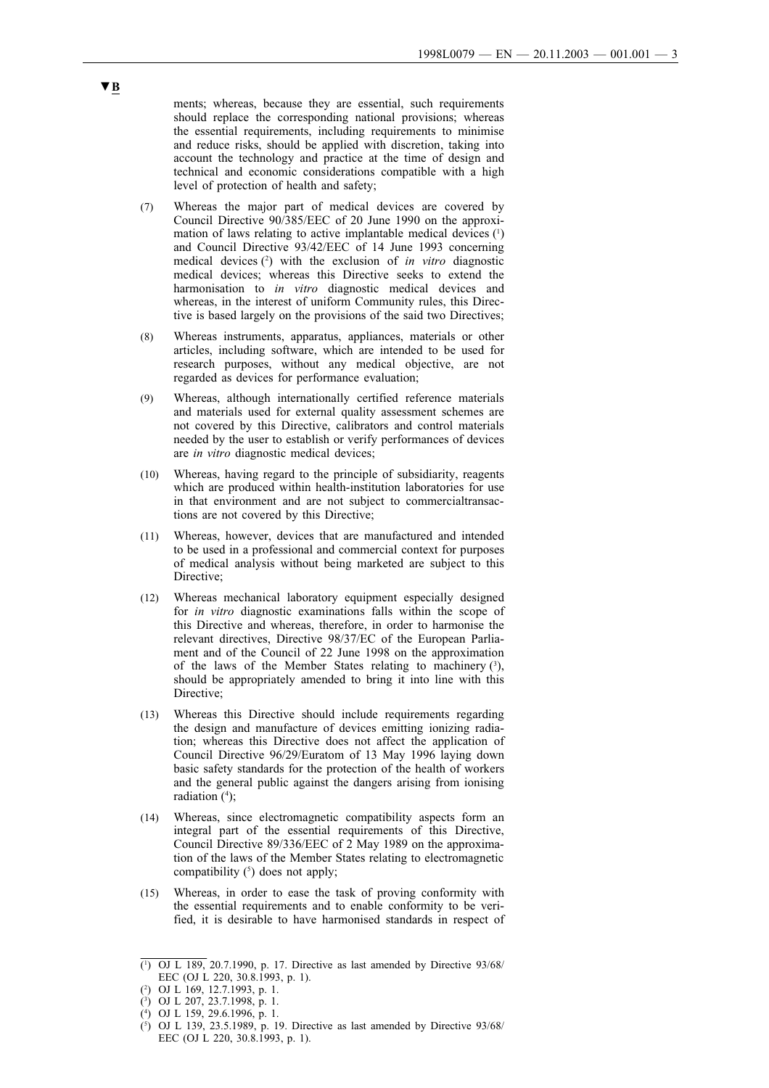ments; whereas, because they are essential, such requirements should replace the corresponding national provisions; whereas the essential requirements, including requirements to minimise and reduce risks, should be applied with discretion, taking into account the technology and practice at the time of design and technical and economic considerations compatible with a high level of protection of health and safety;

- (7) Whereas the major part of medical devices are covered by Council Directive 90/385/EEC of 20 June 1990 on the approximation of laws relating to active implantable medical devices  $(1)$ and Council Directive 93/42/EEC of 14 June 1993 concerning medical devices (2) with the exclusion of *in vitro* diagnostic medical devices; whereas this Directive seeks to extend the harmonisation to *in vitro* diagnostic medical devices and whereas, in the interest of uniform Community rules, this Directive is based largely on the provisions of the said two Directives;
- (8) Whereas instruments, apparatus, appliances, materials or other articles, including software, which are intended to be used for research purposes, without any medical objective, are not regarded as devices for performance evaluation;
- (9) Whereas, although internationally certified reference materials and materials used for external quality assessment schemes are not covered by this Directive, calibrators and control materials needed by the user to establish or verify performances of devices are *in vitro* diagnostic medical devices;
- (10) Whereas, having regard to the principle of subsidiarity, reagents which are produced within health-institution laboratories for use in that environment and are not subject to commercialtransactions are not covered by this Directive;
- (11) Whereas, however, devices that are manufactured and intended to be used in a professional and commercial context for purposes of medical analysis without being marketed are subject to this Directive;
- (12) Whereas mechanical laboratory equipment especially designed for *in vitro* diagnostic examinations falls within the scope of this Directive and whereas, therefore, in order to harmonise the relevant directives, Directive 98/37/EC of the European Parliament and of the Council of 22 June 1998 on the approximation of the laws of the Member States relating to machinery  $(3)$ , should be appropriately amended to bring it into line with this Directive<sup>.</sup>
- (13) Whereas this Directive should include requirements regarding the design and manufacture of devices emitting ionizing radiation; whereas this Directive does not affect the application of Council Directive 96/29/Euratom of 13 May 1996 laying down basic safety standards for the protection of the health of workers and the general public against the dangers arising from ionising radiation (<sup>4</sup>);
- (14) Whereas, since electromagnetic compatibility aspects form an integral part of the essential requirements of this Directive, Council Directive 89/336/EEC of 2 May 1989 on the approximation of the laws of the Member States relating to electromagnetic compatibility  $(5)$  does not apply;
- (15) Whereas, in order to ease the task of proving conformity with the essential requirements and to enable conformity to be verified, it is desirable to have harmonised standards in respect of

<sup>(</sup> 1 ) OJ L 189, 20.7.1990, p. 17. Directive as last amended by Directive 93/68/ EEC (OJ L 220, 30.8.1993, p. 1).

<sup>(2</sup> ) OJ L 169, 12.7.1993, p. 1.

<sup>(</sup> 3 ) OJ L 207, 23.7.1998, p. 1.

<sup>(</sup> 4 ) OJ L 159, 29.6.1996, p. 1.

<sup>(</sup> 5 ) OJ L 139, 23.5.1989, p. 19. Directive as last amended by Directive 93/68/ EEC (OJ L 220, 30.8.1993, p. 1).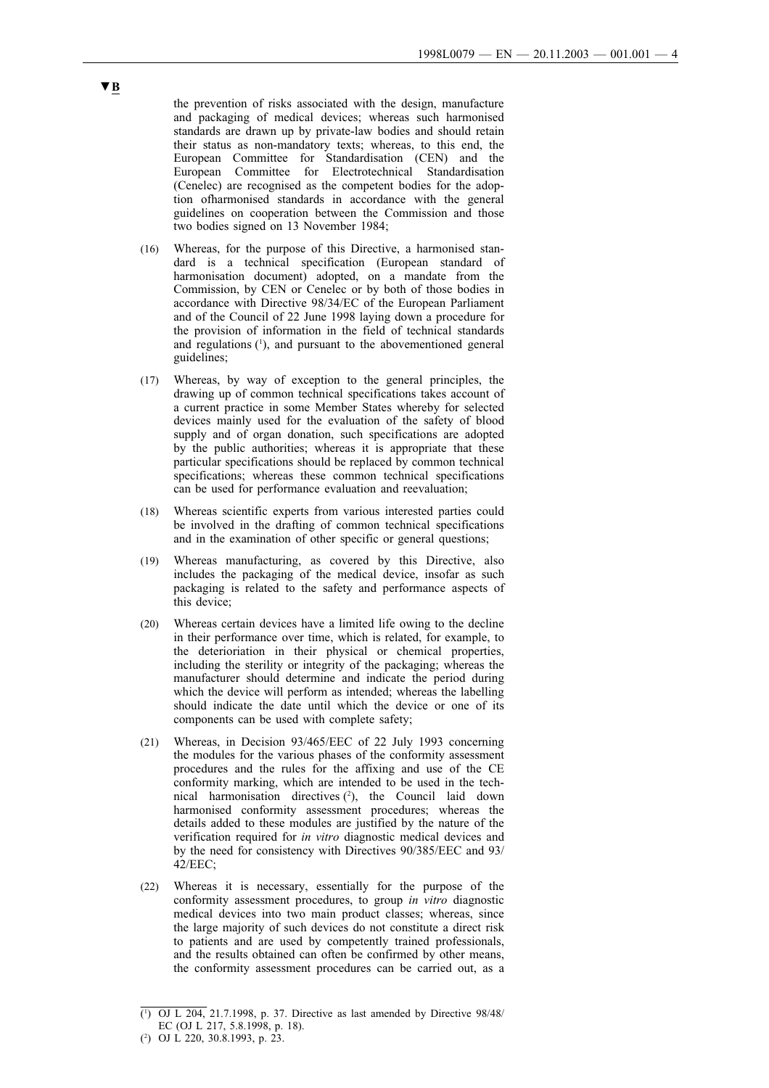the prevention of risks associated with the design, manufacture and packaging of medical devices; whereas such harmonised standards are drawn up by private-law bodies and should retain their status as non-mandatory texts; whereas, to this end, the European Committee for Standardisation (CEN) and the European Committee for Electrotechnical Standardisation (Cenelec) are recognised as the competent bodies for the adoption ofharmonised standards in accordance with the general guidelines on cooperation between the Commission and those two bodies signed on 13 November 1984;

- (16) Whereas, for the purpose of this Directive, a harmonised standard is a technical specification (European standard of harmonisation document) adopted, on a mandate from the Commission, by CEN or Cenelec or by both of those bodies in accordance with Directive 98/34/EC of the European Parliament and of the Council of 22 June 1998 laying down a procedure for the provision of information in the field of technical standards and regulations  $(1)$ , and pursuant to the abovementioned general guidelines;
- (17) Whereas, by way of exception to the general principles, the drawing up of common technical specifications takes account of a current practice in some Member States whereby for selected devices mainly used for the evaluation of the safety of blood supply and of organ donation, such specifications are adopted by the public authorities; whereas it is appropriate that these particular specifications should be replaced by common technical specifications: whereas these common technical specifications can be used for performance evaluation and reevaluation;
- (18) Whereas scientific experts from various interested parties could be involved in the drafting of common technical specifications and in the examination of other specific or general questions;
- (19) Whereas manufacturing, as covered by this Directive, also includes the packaging of the medical device, insofar as such packaging is related to the safety and performance aspects of this device;
- (20) Whereas certain devices have a limited life owing to the decline in their performance over time, which is related, for example, to the deterioriation in their physical or chemical properties, including the sterility or integrity of the packaging; whereas the manufacturer should determine and indicate the period during which the device will perform as intended; whereas the labelling should indicate the date until which the device or one of its components can be used with complete safety;
- (21) Whereas, in Decision 93/465/EEC of 22 July 1993 concerning the modules for the various phases of the conformity assessment procedures and the rules for the affixing and use of the CE conformity marking, which are intended to be used in the technical harmonisation directives  $(2)$ , the Council laid down harmonised conformity assessment procedures; whereas the details added to these modules are justified by the nature of the verification required for *in vitro* diagnostic medical devices and by the need for consistency with Directives 90/385/EEC and 93/ 42/EEC;
- (22) Whereas it is necessary, essentially for the purpose of the conformity assessment procedures, to group *in vitro* diagnostic medical devices into two main product classes; whereas, since the large majority of such devices do not constitute a direct risk to patients and are used by competently trained professionals, and the results obtained can often be confirmed by other means, the conformity assessment procedures can be carried out, as a

<sup>(1</sup> ) OJ L 204, 21.7.1998, p. 37. Directive as last amended by Directive 98/48/ EC (OJ L 217, 5.8.1998, p. 18).

<sup>(2</sup> ) OJ L 220, 30.8.1993, p. 23.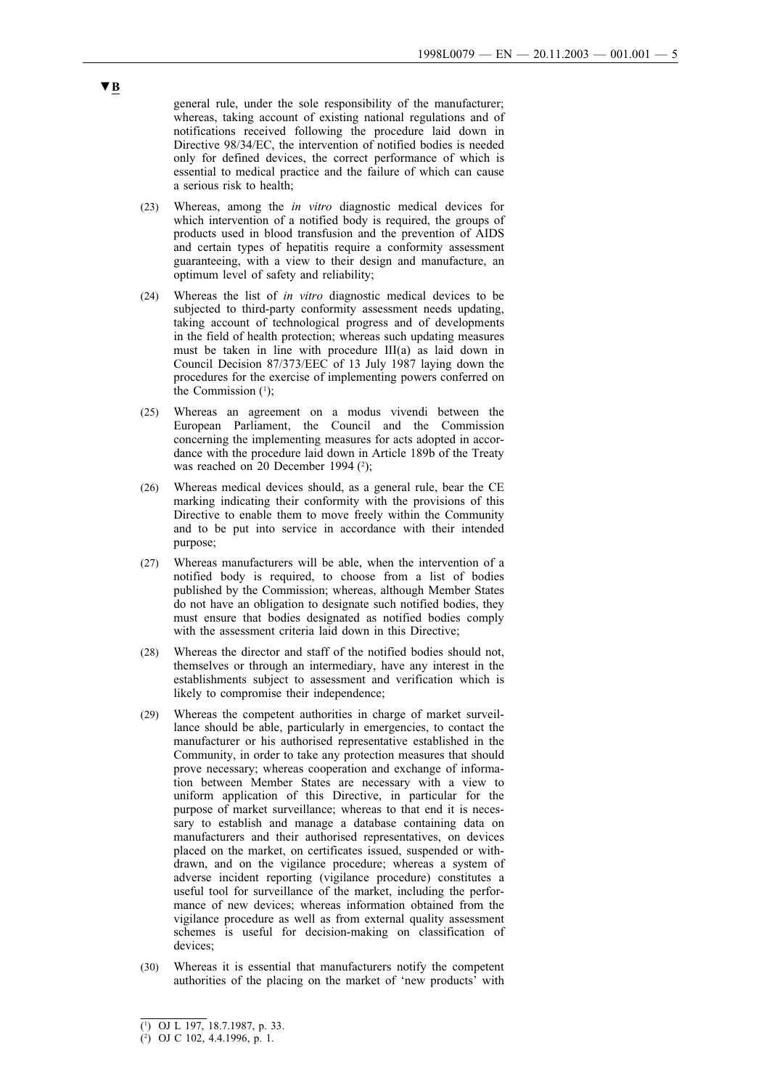general rule, under the sole responsibility of the manufacturer; whereas, taking account of existing national regulations and of notifications received following the procedure laid down in Directive 98/34/EC, the intervention of notified bodies is needed only for defined devices, the correct performance of which is essential to medical practice and the failure of which can cause a serious risk to health;

- (23) Whereas, among the *in vitro* diagnostic medical devices for which intervention of a notified body is required, the groups of products used in blood transfusion and the prevention of AIDS and certain types of hepatitis require a conformity assessment guaranteeing, with a view to their design and manufacture, an optimum level of safety and reliability;
- (24) Whereas the list of *in vitro* diagnostic medical devices to be subjected to third-party conformity assessment needs updating. taking account of technological progress and of developments in the field of health protection; whereas such updating measures must be taken in line with procedure  $III(a)$  as laid down in Council Decision 87/373/EEC of 13 July 1987 laying down the procedures for the exercise of implementing powers conferred on the Commission  $(1)$ ;
- (25) Whereas an agreement on a modus vivendi between the European Parliament, the Council and the Commission concerning the implementing measures for acts adopted in accordance with the procedure laid down in Article 189b of the Treaty was reached on 20 December 1994 $(2)$ ;
- (26) Whereas medical devices should, as a general rule, bear the CE marking indicating their conformity with the provisions of this Directive to enable them to move freely within the Community and to be put into service in accordance with their intended purpose;
- (27) Whereas manufacturers will be able, when the intervention of a notified body is required, to choose from a list of bodies published by the Commission; whereas, although Member States do not have an obligation to designate such notified bodies, they must ensure that bodies designated as notified bodies comply with the assessment criteria laid down in this Directive:
- (28) Whereas the director and staff of the notified bodies should not, themselves or through an intermediary, have any interest in the establishments subject to assessment and verification which is likely to compromise their independence;
- (29) Whereas the competent authorities in charge of market surveillance should be able, particularly in emergencies, to contact the manufacturer or his authorised representative established in the Community, in order to take any protection measures that should prove necessary; whereas cooperation and exchange of information between Member States are necessary with a view to uniform application of this Directive, in particular for the purpose of market surveillance; whereas to that end it is necessary to establish and manage a database containing data on manufacturers and their authorised representatives, on devices placed on the market, on certificates issued, suspended or withdrawn, and on the vigilance procedure; whereas a system of adverse incident reporting (vigilance procedure) constitutes a useful tool for surveillance of the market, including the performance of new devices; whereas information obtained from the vigilance procedure as well as from external quality assessment schemes is useful for decision-making on classification of devices;
- (30) Whereas it is essential that manufacturers notify the competent authorities of the placing on the market of 'new products' with

<sup>(</sup> 1 ) OJ L 197, 18.7.1987, p. 33.

<sup>(</sup> 2 ) OJ C 102, 4.4.1996, p. 1.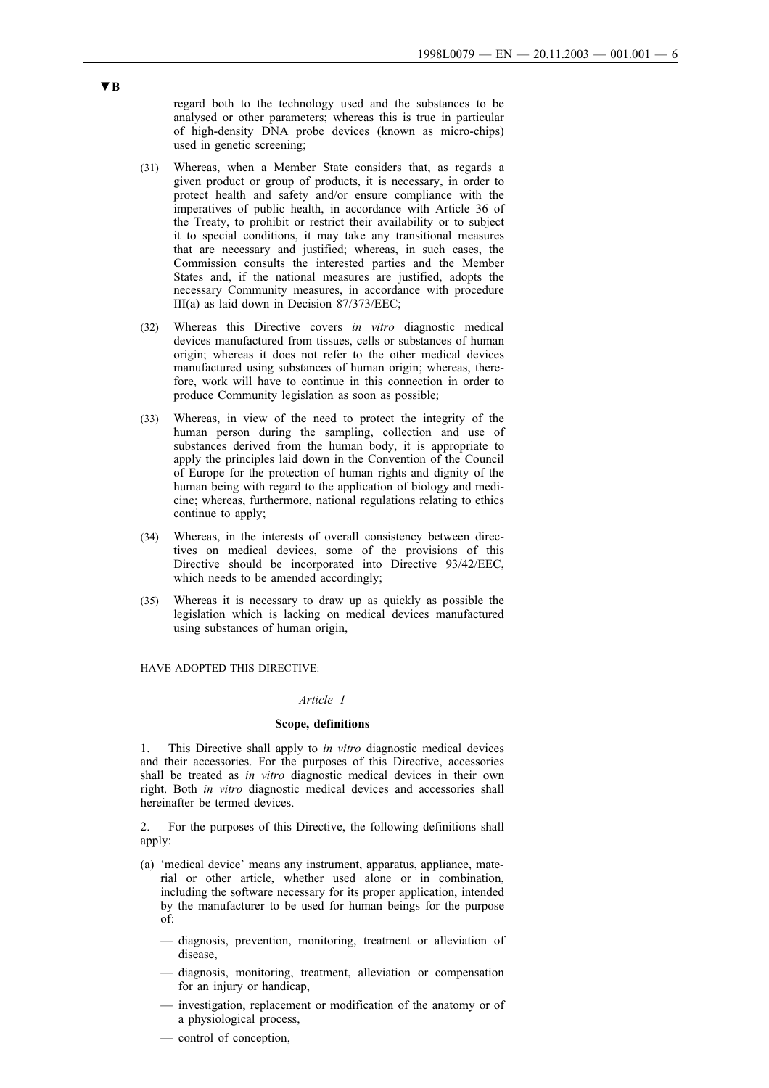regard both to the technology used and the substances to be analysed or other parameters; whereas this is true in particular of high-density DNA probe devices (known as micro-chips) used in genetic screening;

- (31) Whereas, when a Member State considers that, as regards a given product or group of products, it is necessary, in order to protect health and safety and/or ensure compliance with the imperatives of public health, in accordance with Article 36 of the Treaty, to prohibit or restrict their availability or to subject it to special conditions, it may take any transitional measures that are necessary and justified; whereas, in such cases, the Commission consults the interested parties and the Member States and, if the national measures are justified, adopts the necessary Community measures, in accordance with procedure III(a) as laid down in Decision 87/373/EEC;
- (32) Whereas this Directive covers *in vitro* diagnostic medical devices manufactured from tissues, cells or substances of human origin; whereas it does not refer to the other medical devices manufactured using substances of human origin; whereas, therefore, work will have to continue in this connection in order to produce Community legislation as soon as possible;
- (33) Whereas, in view of the need to protect the integrity of the human person during the sampling, collection and use of substances derived from the human body, it is appropriate to apply the principles laid down in the Convention of the Council of Europe for the protection of human rights and dignity of the human being with regard to the application of biology and medicine; whereas, furthermore, national regulations relating to ethics continue to apply;
- (34) Whereas, in the interests of overall consistency between directives on medical devices, some of the provisions of this Directive should be incorporated into Directive 93/42/EEC, which needs to be amended accordingly;
- (35) Whereas it is necessary to draw up as quickly as possible the legislation which is lacking on medical devices manufactured using substances of human origin,

HAVE ADOPTED THIS DIRECTIVE:

### *Article 1*

#### **Scope, definitions**

1. This Directive shall apply to *in vitro* diagnostic medical devices and their accessories. For the purposes of this Directive, accessories shall be treated as *in vitro* diagnostic medical devices in their own right. Both *in vitro* diagnostic medical devices and accessories shall hereinafter be termed devices.

2. For the purposes of this Directive, the following definitions shall apply:

- (a) 'medical device' means any instrument, apparatus, appliance, material or other article, whether used alone or in combination, including the software necessary for its proper application, intended by the manufacturer to be used for human beings for the purpose of:
	- diagnosis, prevention, monitoring, treatment or alleviation of disease,
	- diagnosis, monitoring, treatment, alleviation or compensation for an injury or handicap,
	- investigation, replacement or modification of the anatomy or of a physiological process,
	- control of conception,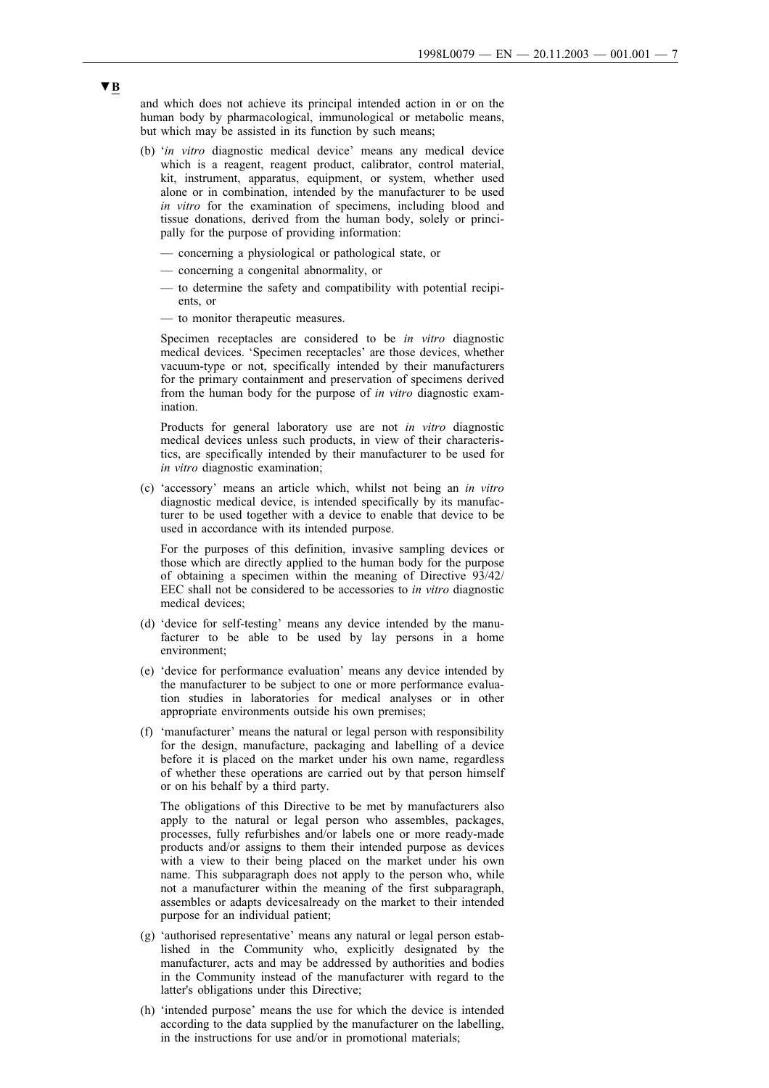and which does not achieve its principal intended action in or on the human body by pharmacological, immunological or metabolic means, but which may be assisted in its function by such means;

- (b) '*in vitro* diagnostic medical device' means any medical device which is a reagent, reagent product, calibrator, control material, kit, instrument, apparatus, equipment, or system, whether used alone or in combination, intended by the manufacturer to be used *in vitro* for the examination of specimens, including blood and tissue donations, derived from the human body, solely or principally for the purpose of providing information:
	- concerning a physiological or pathological state, or
	- concerning a congenital abnormality, or
	- to determine the safety and compatibility with potential recipients, or
	- to monitor therapeutic measures.

Specimen receptacles are considered to be *in vitro* diagnostic medical devices. 'Specimen receptacles' are those devices, whether vacuum-type or not, specifically intended by their manufacturers for the primary containment and preservation of specimens derived from the human body for the purpose of *in vitro* diagnostic examination.

Products for general laboratory use are not *in vitro* diagnostic medical devices unless such products, in view of their characteristics, are specifically intended by their manufacturer to be used for *in vitro* diagnostic examination;

(c) 'accessory' means an article which, whilst not being an *in vitro* diagnostic medical device, is intended specifically by its manufacturer to be used together with a device to enable that device to be used in accordance with its intended purpose.

For the purposes of this definition, invasive sampling devices or those which are directly applied to the human body for the purpose of obtaining a specimen within the meaning of Directive 93/42/ EEC shall not be considered to be accessories to *in vitro* diagnostic medical devices;

- (d) 'device for self-testing' means any device intended by the manufacturer to be able to be used by lay persons in a home environment;
- (e) 'device for performance evaluation' means any device intended by the manufacturer to be subject to one or more performance evaluation studies in laboratories for medical analyses or in other appropriate environments outside his own premises;
- (f) 'manufacturer' means the natural or legal person with responsibility for the design, manufacture, packaging and labelling of a device before it is placed on the market under his own name, regardless of whether these operations are carried out by that person himself or on his behalf by a third party.

The obligations of this Directive to be met by manufacturers also apply to the natural or legal person who assembles, packages, processes, fully refurbishes and/or labels one or more ready-made products and/or assigns to them their intended purpose as devices with a view to their being placed on the market under his own name. This subparagraph does not apply to the person who, while not a manufacturer within the meaning of the first subparagraph, assembles or adapts devicesalready on the market to their intended purpose for an individual patient;

- (g) 'authorised representative' means any natural or legal person established in the Community who, explicitly designated by the manufacturer, acts and may be addressed by authorities and bodies in the Community instead of the manufacturer with regard to the latter's obligations under this Directive;
- (h) 'intended purpose' means the use for which the device is intended according to the data supplied by the manufacturer on the labelling, in the instructions for use and/or in promotional materials;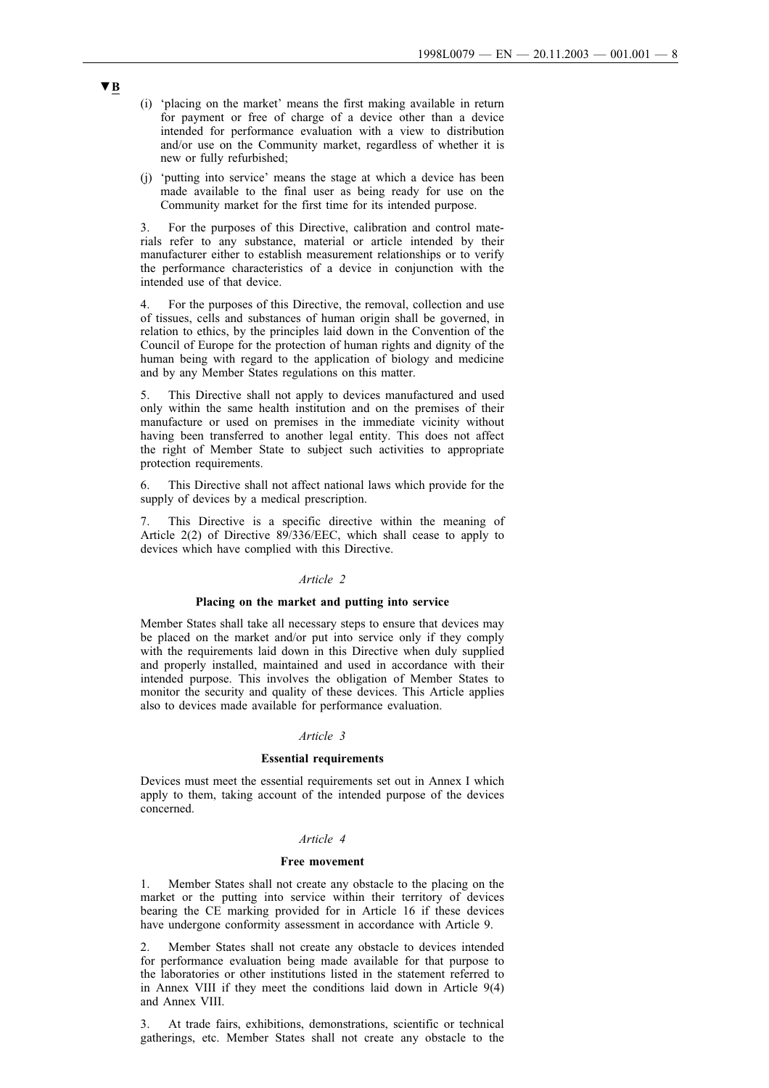- (i) 'placing on the market' means the first making available in return for payment or free of charge of a device other than a device intended for performance evaluation with a view to distribution and/or use on the Community market, regardless of whether it is new or fully refurbished;
- (j) 'putting into service' means the stage at which a device has been made available to the final user as being ready for use on the Community market for the first time for its intended purpose.

3. For the purposes of this Directive, calibration and control materials refer to any substance, material or article intended by their manufacturer either to establish measurement relationships or to verify the performance characteristics of a device in conjunction with the intended use of that device.

4. For the purposes of this Directive, the removal, collection and use of tissues, cells and substances of human origin shall be governed, in relation to ethics, by the principles laid down in the Convention of the Council of Europe for the protection of human rights and dignity of the human being with regard to the application of biology and medicine and by any Member States regulations on this matter.

5. This Directive shall not apply to devices manufactured and used only within the same health institution and on the premises of their manufacture or used on premises in the immediate vicinity without having been transferred to another legal entity. This does not affect the right of Member State to subject such activities to appropriate protection requirements.

6. This Directive shall not affect national laws which provide for the supply of devices by a medical prescription.

7. This Directive is a specific directive within the meaning of Article 2(2) of Directive  $89/336/EEC$ , which shall cease to apply to devices which have complied with this Directive.

### *Article 2*

#### **Placing on the market and putting into service**

Member States shall take all necessary steps to ensure that devices may be placed on the market and/or put into service only if they comply with the requirements laid down in this Directive when duly supplied and properly installed, maintained and used in accordance with their intended purpose. This involves the obligation of Member States to monitor the security and quality of these devices. This Article applies also to devices made available for performance evaluation.

#### *Article 3*

### **Essential requirements**

Devices must meet the essential requirements set out in Annex I which apply to them, taking account of the intended purpose of the devices concerned.

#### *Article 4*

#### **Free movement**

1. Member States shall not create any obstacle to the placing on the market or the putting into service within their territory of devices bearing the CE marking provided for in Article 16 if these devices have undergone conformity assessment in accordance with Article 9.

2. Member States shall not create any obstacle to devices intended for performance evaluation being made available for that purpose to the laboratories or other institutions listed in the statement referred to in Annex VIII if they meet the conditions laid down in Article 9(4) and Annex VIII.

3. At trade fairs, exhibitions, demonstrations, scientific or technical gatherings, etc. Member States shall not create any obstacle to the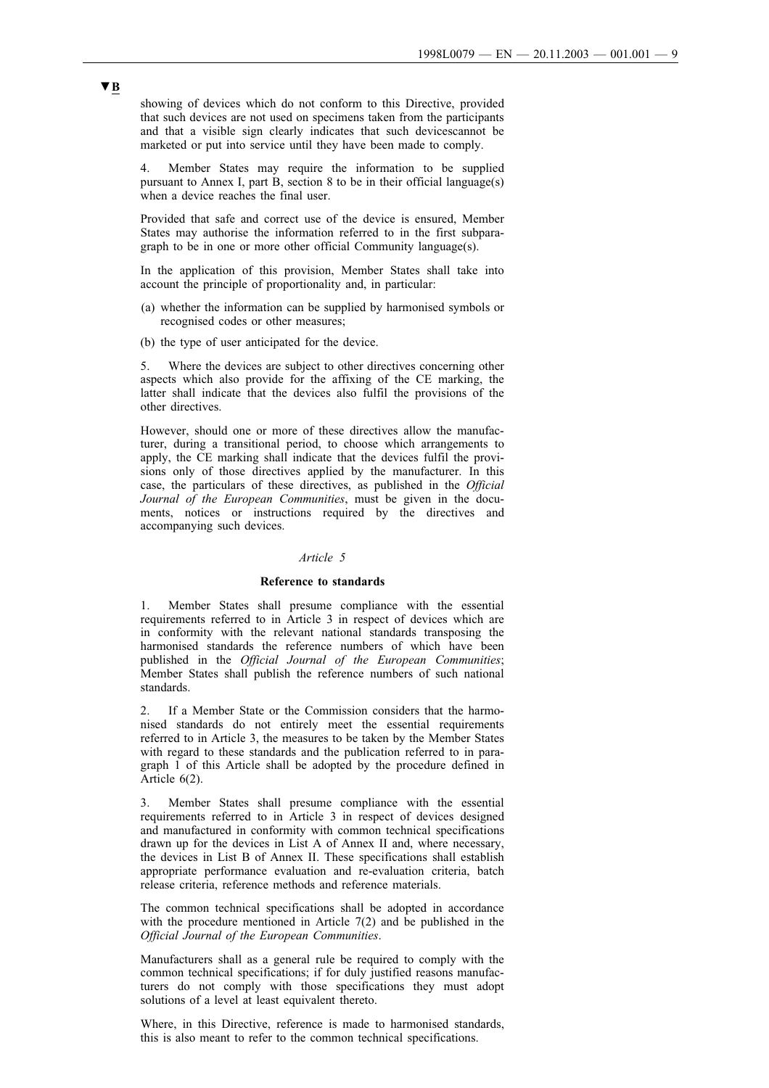showing of devices which do not conform to this Directive, provided that such devices are not used on specimens taken from the participants and that a visible sign clearly indicates that such devicescannot be marketed or put into service until they have been made to comply.

4. Member States may require the information to be supplied pursuant to Annex I, part B, section 8 to be in their official language(s) when a device reaches the final user.

Provided that safe and correct use of the device is ensured, Member States may authorise the information referred to in the first subparagraph to be in one or more other official Community language(s).

In the application of this provision, Member States shall take into account the principle of proportionality and, in particular:

- (a) whether the information can be supplied by harmonised symbols or recognised codes or other measures;
- (b) the type of user anticipated for the device.

5. Where the devices are subject to other directives concerning other aspects which also provide for the affixing of the CE marking, the latter shall indicate that the devices also fulfil the provisions of the other directives.

However, should one or more of these directives allow the manufacturer, during a transitional period, to choose which arrangements to apply, the CE marking shall indicate that the devices fulfil the provisions only of those directives applied by the manufacturer. In this case, the particulars of these directives, as published in the *Official Journal of the European Communities*, must be given in the documents, notices or instructions required by the directives and accompanying such devices.

#### *Article 5*

#### **Reference to standards**

1. Member States shall presume compliance with the essential requirements referred to in Article 3 in respect of devices which are in conformity with the relevant national standards transposing the harmonised standards the reference numbers of which have been published in the *Official Journal of the European Communities*; Member States shall publish the reference numbers of such national standards.

2. If a Member State or the Commission considers that the harmonised standards do not entirely meet the essential requirements referred to in Article 3, the measures to be taken by the Member States with regard to these standards and the publication referred to in paragraph 1 of this Article shall be adopted by the procedure defined in Article 6(2).

3. Member States shall presume compliance with the essential requirements referred to in Article 3 in respect of devices designed and manufactured in conformity with common technical specifications drawn up for the devices in List A of Annex II and, where necessary, the devices in List B of Annex II. These specifications shall establish appropriate performance evaluation and re-evaluation criteria, batch release criteria, reference methods and reference materials.

The common technical specifications shall be adopted in accordance with the procedure mentioned in Article 7(2) and be published in the *Official Journal of the European Communities*.

Manufacturers shall as a general rule be required to comply with the common technical specifications; if for duly justified reasons manufacturers do not comply with those specifications they must adopt solutions of a level at least equivalent thereto.

Where, in this Directive, reference is made to harmonised standards, this is also meant to refer to the common technical specifications.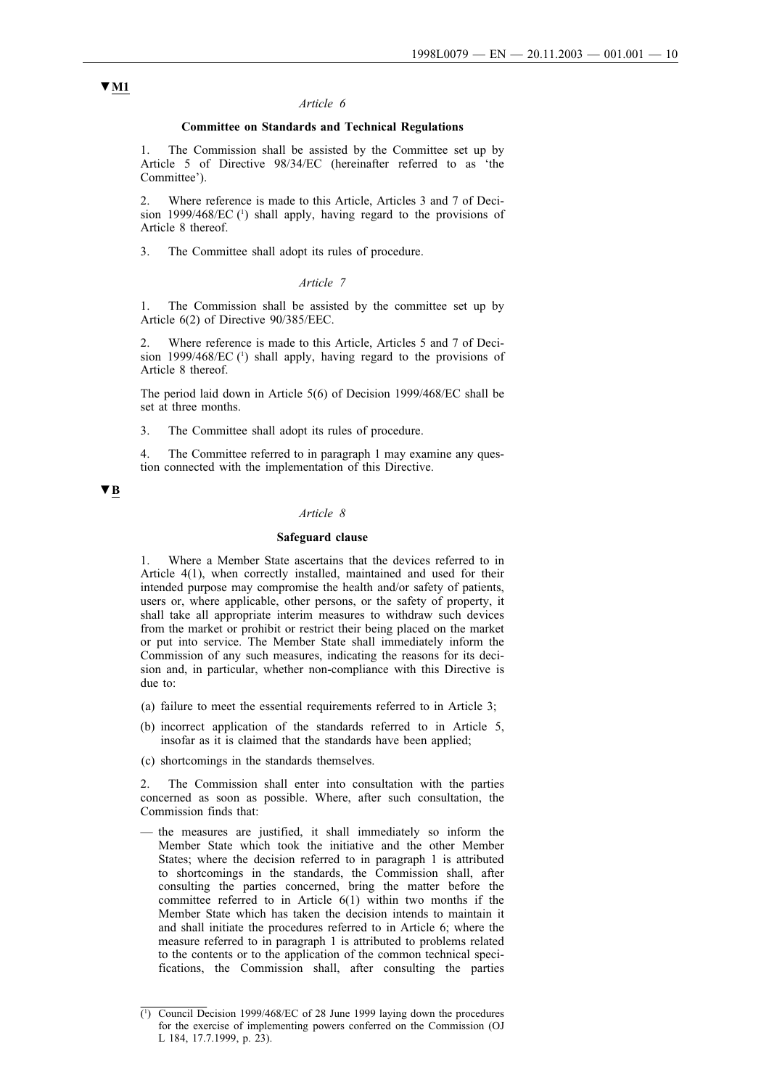#### *Article 6*

### **Committee on Standards and Technical Regulations**

1. The Commission shall be assisted by the Committee set up by Article 5 of Directive 98/34/EC (hereinafter referred to as 'the Committee').

2. Where reference is made to this Article, Articles 3 and 7 of Decision 1999/468/EC (1) shall apply, having regard to the provisions of Article 8 thereof.

3. The Committee shall adopt its rules of procedure.

#### *Article 7*

1. The Commission shall be assisted by the committee set up by Article 6(2) of Directive 90/385/EEC.

2. Where reference is made to this Article, Articles 5 and 7 of Decision 1999/468/EC (1) shall apply, having regard to the provisions of Article 8 thereof.

The period laid down in Article 5(6) of Decision 1999/468/EC shall be set at three months.

3. The Committee shall adopt its rules of procedure.

4. The Committee referred to in paragraph 1 may examine any question connected with the implementation of this Directive.

#### ▼**B**

### *Article 8*

### **Safeguard clause**

1. Where a Member State ascertains that the devices referred to in Article 4(1), when correctly installed, maintained and used for their intended purpose may compromise the health and/or safety of patients, users or, where applicable, other persons, or the safety of property, it shall take all appropriate interim measures to withdraw such devices from the market or prohibit or restrict their being placed on the market or put into service. The Member State shall immediately inform the Commission of any such measures, indicating the reasons for its decision and, in particular, whether non-compliance with this Directive is due to:

- (a) failure to meet the essential requirements referred to in Article 3;
- (b) incorrect application of the standards referred to in Article 5, insofar as it is claimed that the standards have been applied;
- (c) shortcomings in the standards themselves.

2. The Commission shall enter into consultation with the parties concerned as soon as possible. Where, after such consultation, the Commission finds that:

— the measures are justified, it shall immediately so inform the Member State which took the initiative and the other Member States; where the decision referred to in paragraph 1 is attributed to shortcomings in the standards, the Commission shall, after consulting the parties concerned, bring the matter before the committee referred to in Article 6(1) within two months if the Member State which has taken the decision intends to maintain it and shall initiate the procedures referred to in Article 6; where the measure referred to in paragraph 1 is attributed to problems related to the contents or to the application of the common technical specifications, the Commission shall, after consulting the parties

## ▼**M1**

<sup>(1</sup> ) Council Decision 1999/468/EC of 28 June 1999 laying down the procedures for the exercise of implementing powers conferred on the Commission (OJ L 184, 17.7.1999, p. 23).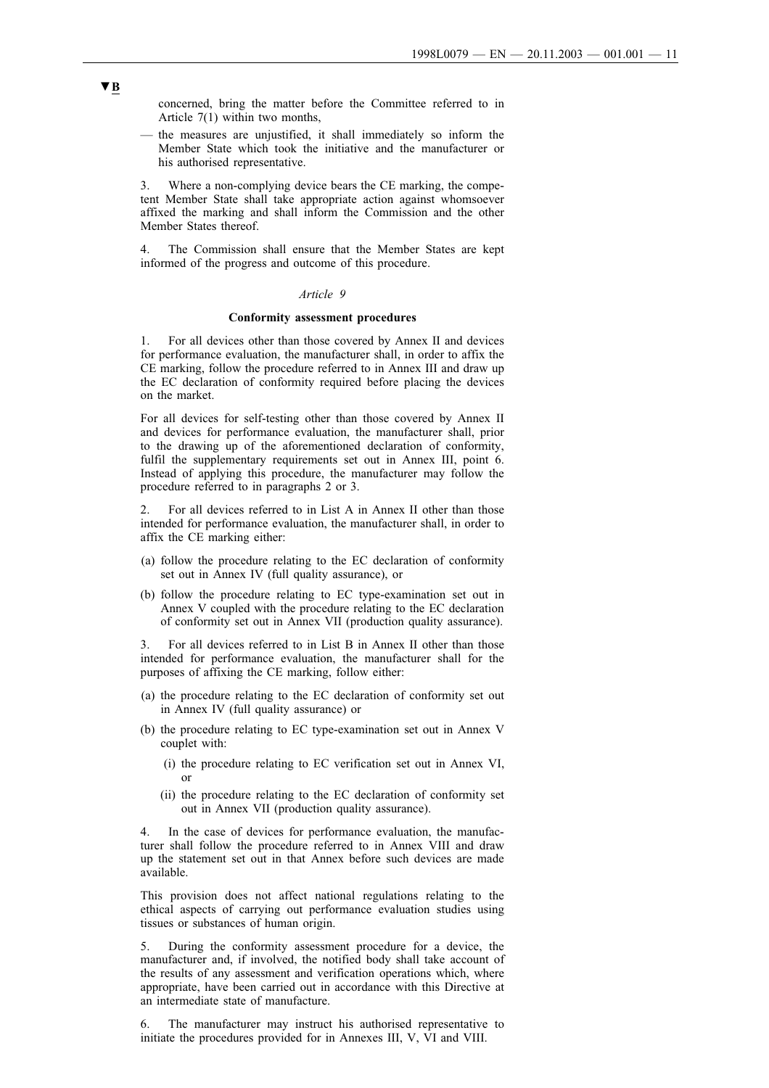concerned, bring the matter before the Committee referred to in Article 7(1) within two months,

— the measures are unjustified, it shall immediately so inform the Member State which took the initiative and the manufacturer or his authorised representative.

3. Where a non-complying device bears the CE marking, the competent Member State shall take appropriate action against whomsoever affixed the marking and shall inform the Commission and the other Member States thereof.

4. The Commission shall ensure that the Member States are kept informed of the progress and outcome of this procedure.

#### *Article 9*

#### **Conformity assessment procedures**

1. For all devices other than those covered by Annex II and devices for performance evaluation, the manufacturer shall, in order to affix the CE marking, follow the procedure referred to in Annex III and draw up the EC declaration of conformity required before placing the devices on the market.

For all devices for self-testing other than those covered by Annex II and devices for performance evaluation, the manufacturer shall, prior to the drawing up of the aforementioned declaration of conformity, fulfil the supplementary requirements set out in Annex III, point 6. Instead of applying this procedure, the manufacturer may follow the procedure referred to in paragraphs 2 or 3.

2. For all devices referred to in List A in Annex II other than those intended for performance evaluation, the manufacturer shall, in order to affix the CE marking either:

- (a) follow the procedure relating to the EC declaration of conformity set out in Annex IV (full quality assurance), or
- (b) follow the procedure relating to EC type-examination set out in Annex V coupled with the procedure relating to the EC declaration of conformity set out in Annex VII (production quality assurance).

3. For all devices referred to in List B in Annex II other than those intended for performance evaluation, the manufacturer shall for the purposes of affixing the CE marking, follow either:

- (a) the procedure relating to the EC declaration of conformity set out in Annex IV (full quality assurance) or
- (b) the procedure relating to EC type-examination set out in Annex V couplet with:
	- (i) the procedure relating to EC verification set out in Annex VI, or
	- (ii) the procedure relating to the EC declaration of conformity set out in Annex VII (production quality assurance).

4. In the case of devices for performance evaluation, the manufacturer shall follow the procedure referred to in Annex VIII and draw up the statement set out in that Annex before such devices are made available.

This provision does not affect national regulations relating to the ethical aspects of carrying out performance evaluation studies using tissues or substances of human origin.

5. During the conformity assessment procedure for a device, the manufacturer and, if involved, the notified body shall take account of the results of any assessment and verification operations which, where appropriate, have been carried out in accordance with this Directive at an intermediate state of manufacture.

6. The manufacturer may instruct his authorised representative to initiate the procedures provided for in Annexes III, V, VI and VIII.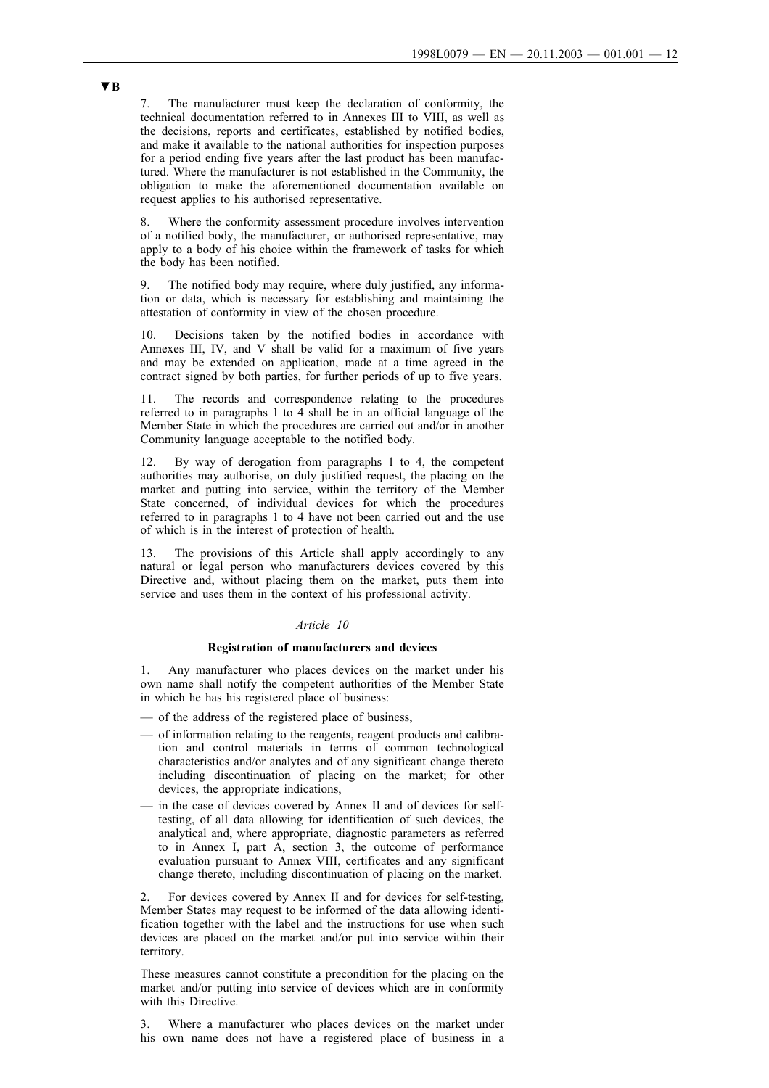7. The manufacturer must keep the declaration of conformity, the technical documentation referred to in Annexes III to VIII, as well as the decisions, reports and certificates, established by notified bodies, and make it available to the national authorities for inspection purposes for a period ending five years after the last product has been manufactured. Where the manufacturer is not established in the Community, the obligation to make the aforementioned documentation available on request applies to his authorised representative.

Where the conformity assessment procedure involves intervention of a notified body, the manufacturer, or authorised representative, may apply to a body of his choice within the framework of tasks for which the body has been notified.

9. The notified body may require, where duly justified, any information or data, which is necessary for establishing and maintaining the attestation of conformity in view of the chosen procedure.

10. Decisions taken by the notified bodies in accordance with Annexes III, IV, and V shall be valid for a maximum of five years and may be extended on application, made at a time agreed in the contract signed by both parties, for further periods of up to five years.

11. The records and correspondence relating to the procedures referred to in paragraphs 1 to 4 shall be in an official language of the Member State in which the procedures are carried out and/or in another Community language acceptable to the notified body.

12. By way of derogation from paragraphs 1 to 4, the competent authorities may authorise, on duly justified request, the placing on the market and putting into service, within the territory of the Member State concerned, of individual devices for which the procedures referred to in paragraphs 1 to 4 have not been carried out and the use of which is in the interest of protection of health.

13. The provisions of this Article shall apply accordingly to any natural or legal person who manufacturers devices covered by this Directive and, without placing them on the market, puts them into service and uses them in the context of his professional activity.

## *Article 10*

#### **Registration of manufacturers and devices**

Any manufacturer who places devices on the market under his own name shall notify the competent authorities of the Member State in which he has his registered place of business:

- of the address of the registered place of business,
- of information relating to the reagents, reagent products and calibration and control materials in terms of common technological characteristics and/or analytes and of any significant change thereto including discontinuation of placing on the market; for other devices, the appropriate indications,
- in the case of devices covered by Annex II and of devices for selftesting, of all data allowing for identification of such devices, the analytical and, where appropriate, diagnostic parameters as referred to in Annex I, part A, section 3, the outcome of performance evaluation pursuant to Annex VIII, certificates and any significant change thereto, including discontinuation of placing on the market.

2. For devices covered by Annex II and for devices for self-testing, Member States may request to be informed of the data allowing identification together with the label and the instructions for use when such devices are placed on the market and/or put into service within their territory.

These measures cannot constitute a precondition for the placing on the market and/or putting into service of devices which are in conformity with this Directive.

3. Where a manufacturer who places devices on the market under his own name does not have a registered place of business in a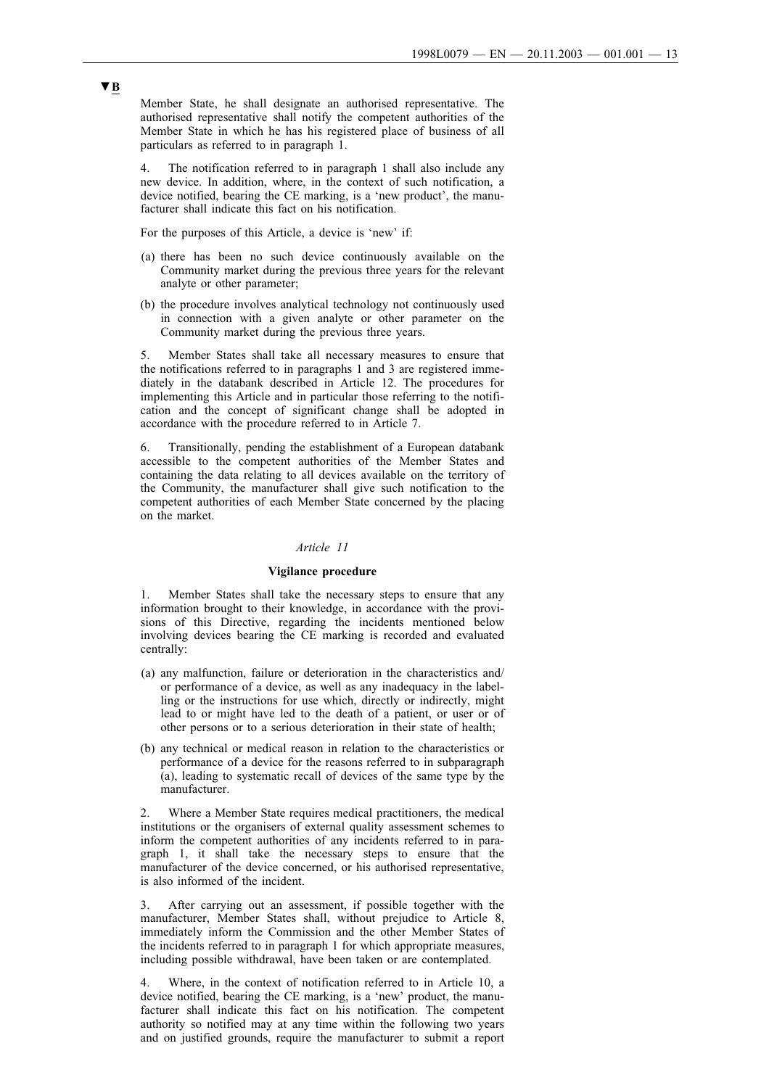Member State, he shall designate an authorised representative. The authorised representative shall notify the competent authorities of the Member State in which he has his registered place of business of all particulars as referred to in paragraph 1.

4. The notification referred to in paragraph 1 shall also include any new device. In addition, where, in the context of such notification, a device notified, bearing the CE marking, is a 'new product', the manufacturer shall indicate this fact on his notification.

For the purposes of this Article, a device is 'new' if:

- (a) there has been no such device continuously available on the Community market during the previous three years for the relevant analyte or other parameter;
- (b) the procedure involves analytical technology not continuously used in connection with a given analyte or other parameter on the Community market during the previous three years.

5. Member States shall take all necessary measures to ensure that the notifications referred to in paragraphs 1 and 3 are registered immediately in the databank described in Article 12. The procedures for implementing this Article and in particular those referring to the notification and the concept of significant change shall be adopted in accordance with the procedure referred to in Article 7.

6. Transitionally, pending the establishment of a European databank accessible to the competent authorities of the Member States and containing the data relating to all devices available on the territory of the Community, the manufacturer shall give such notification to the competent authorities of each Member State concerned by the placing on the market.

#### *Article 11*

### **Vigilance procedure**

1. Member States shall take the necessary steps to ensure that any information brought to their knowledge, in accordance with the provisions of this Directive, regarding the incidents mentioned below involving devices bearing the CE marking is recorded and evaluated centrally:

- (a) any malfunction, failure or deterioration in the characteristics and/ or performance of a device, as well as any inadequacy in the labelling or the instructions for use which, directly or indirectly, might lead to or might have led to the death of a patient, or user or of other persons or to a serious deterioration in their state of health;
- (b) any technical or medical reason in relation to the characteristics or performance of a device for the reasons referred to in subparagraph (a), leading to systematic recall of devices of the same type by the manufacturer.

2. Where a Member State requires medical practitioners, the medical institutions or the organisers of external quality assessment schemes to inform the competent authorities of any incidents referred to in paragraph 1, it shall take the necessary steps to ensure that the manufacturer of the device concerned, or his authorised representative, is also informed of the incident.

3. After carrying out an assessment, if possible together with the manufacturer, Member States shall, without prejudice to Article 8, immediately inform the Commission and the other Member States of the incidents referred to in paragraph 1 for which appropriate measures, including possible withdrawal, have been taken or are contemplated.

4. Where, in the context of notification referred to in Article 10, a device notified, bearing the CE marking, is a 'new' product, the manufacturer shall indicate this fact on his notification. The competent authority so notified may at any time within the following two years and on justified grounds, require the manufacturer to submit a report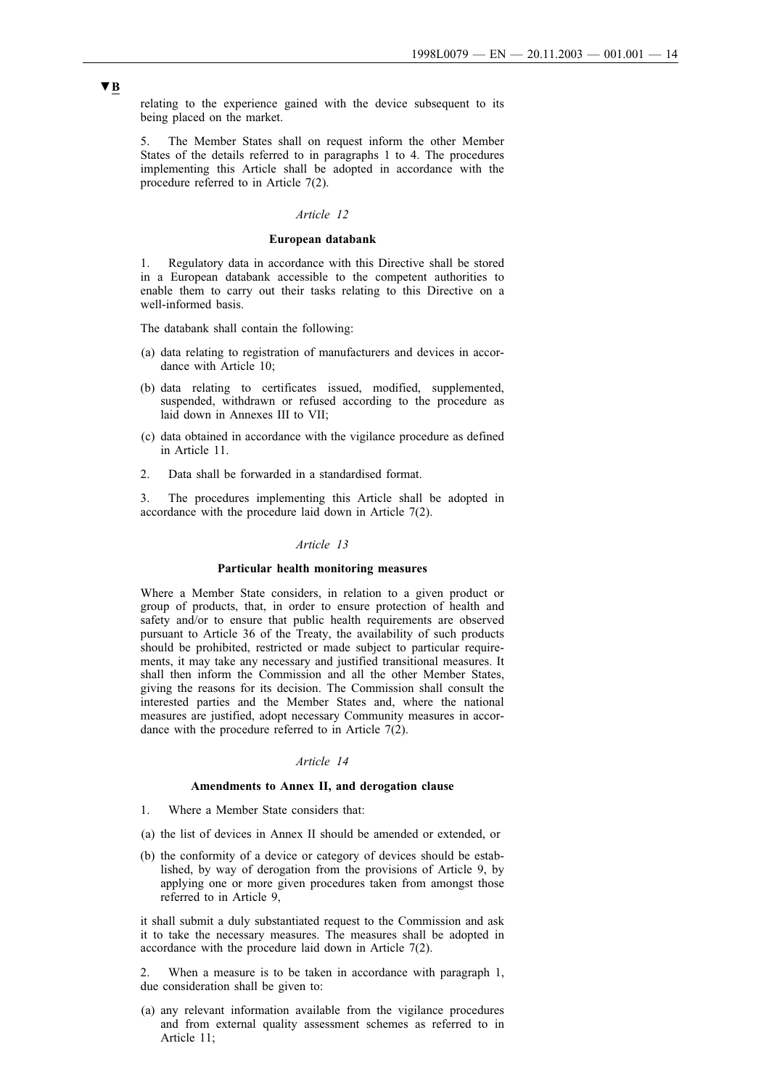relating to the experience gained with the device subsequent to its being placed on the market.

5. The Member States shall on request inform the other Member States of the details referred to in paragraphs 1 to 4. The procedures implementing this Article shall be adopted in accordance with the procedure referred to in Article 7(2).

## *Article 12*

### **European databank**

1. Regulatory data in accordance with this Directive shall be stored in a European databank accessible to the competent authorities to enable them to carry out their tasks relating to this Directive on a well-informed basis.

The databank shall contain the following:

- (a) data relating to registration of manufacturers and devices in accordance with Article 10;
- (b) data relating to certificates issued, modified, supplemented, suspended, withdrawn or refused according to the procedure as laid down in Annexes III to VII;
- (c) data obtained in accordance with the vigilance procedure as defined in Article 11.
- 2. Data shall be forwarded in a standardised format.

3. The procedures implementing this Article shall be adopted in accordance with the procedure laid down in Article  $7(2)$ .

#### *Article 13*

#### **Particular health monitoring measures**

Where a Member State considers, in relation to a given product or group of products, that, in order to ensure protection of health and safety and/or to ensure that public health requirements are observed pursuant to Article 36 of the Treaty, the availability of such products should be prohibited, restricted or made subject to particular requirements, it may take any necessary and justified transitional measures. It shall then inform the Commission and all the other Member States, giving the reasons for its decision. The Commission shall consult the interested parties and the Member States and, where the national measures are justified, adopt necessary Community measures in accordance with the procedure referred to in Article  $7(2)$ .

#### *Article 14*

#### **Amendments to Annex II, and derogation clause**

- 1. Where a Member State considers that:
- (a) the list of devices in Annex II should be amended or extended, or
- (b) the conformity of a device or category of devices should be established, by way of derogation from the provisions of Article 9, by applying one or more given procedures taken from amongst those referred to in Article 9,

it shall submit a duly substantiated request to the Commission and ask it to take the necessary measures. The measures shall be adopted in accordance with the procedure laid down in Article  $7(2)$ .

2. When a measure is to be taken in accordance with paragraph 1, due consideration shall be given to:

(a) any relevant information available from the vigilance procedures and from external quality assessment schemes as referred to in Article 11;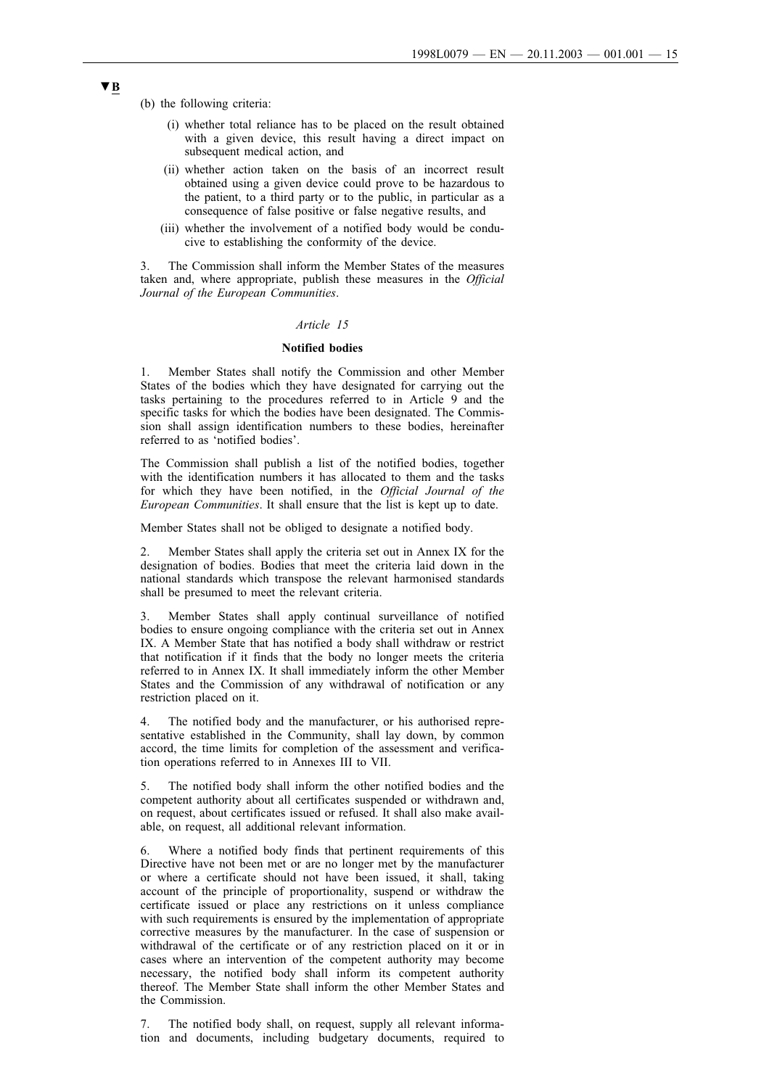(b) the following criteria:

- (i) whether total reliance has to be placed on the result obtained with a given device, this result having a direct impact on subsequent medical action, and
- (ii) whether action taken on the basis of an incorrect result obtained using a given device could prove to be hazardous to the patient, to a third party or to the public, in particular as a consequence of false positive or false negative results, and
- (iii) whether the involvement of a notified body would be conducive to establishing the conformity of the device.

3. The Commission shall inform the Member States of the measures taken and, where appropriate, publish these measures in the *Official Journal of the European Communities*.

### *Article 15*

### **Notified bodies**

1. Member States shall notify the Commission and other Member States of the bodies which they have designated for carrying out the tasks pertaining to the procedures referred to in Article 9 and the specific tasks for which the bodies have been designated. The Commission shall assign identification numbers to these bodies, hereinafter referred to as 'notified bodies'.

The Commission shall publish a list of the notified bodies, together with the identification numbers it has allocated to them and the tasks for which they have been notified, in the *Official Journal of the European Communities*. It shall ensure that the list is kept up to date.

Member States shall not be obliged to designate a notified body.

2. Member States shall apply the criteria set out in Annex IX for the designation of bodies. Bodies that meet the criteria laid down in the national standards which transpose the relevant harmonised standards shall be presumed to meet the relevant criteria.

3. Member States shall apply continual surveillance of notified bodies to ensure ongoing compliance with the criteria set out in Annex IX. A Member State that has notified a body shall withdraw or restrict that notification if it finds that the body no longer meets the criteria referred to in Annex IX. It shall immediately inform the other Member States and the Commission of any withdrawal of notification or any restriction placed on it.

4. The notified body and the manufacturer, or his authorised representative established in the Community, shall lay down, by common accord, the time limits for completion of the assessment and verification operations referred to in Annexes III to VII.

5. The notified body shall inform the other notified bodies and the competent authority about all certificates suspended or withdrawn and, on request, about certificates issued or refused. It shall also make available, on request, all additional relevant information.

6. Where a notified body finds that pertinent requirements of this Directive have not been met or are no longer met by the manufacturer or where a certificate should not have been issued, it shall, taking account of the principle of proportionality, suspend or withdraw the certificate issued or place any restrictions on it unless compliance with such requirements is ensured by the implementation of appropriate corrective measures by the manufacturer. In the case of suspension or withdrawal of the certificate or of any restriction placed on it or in cases where an intervention of the competent authority may become necessary, the notified body shall inform its competent authority thereof. The Member State shall inform the other Member States and the Commission.

7. The notified body shall, on request, supply all relevant information and documents, including budgetary documents, required to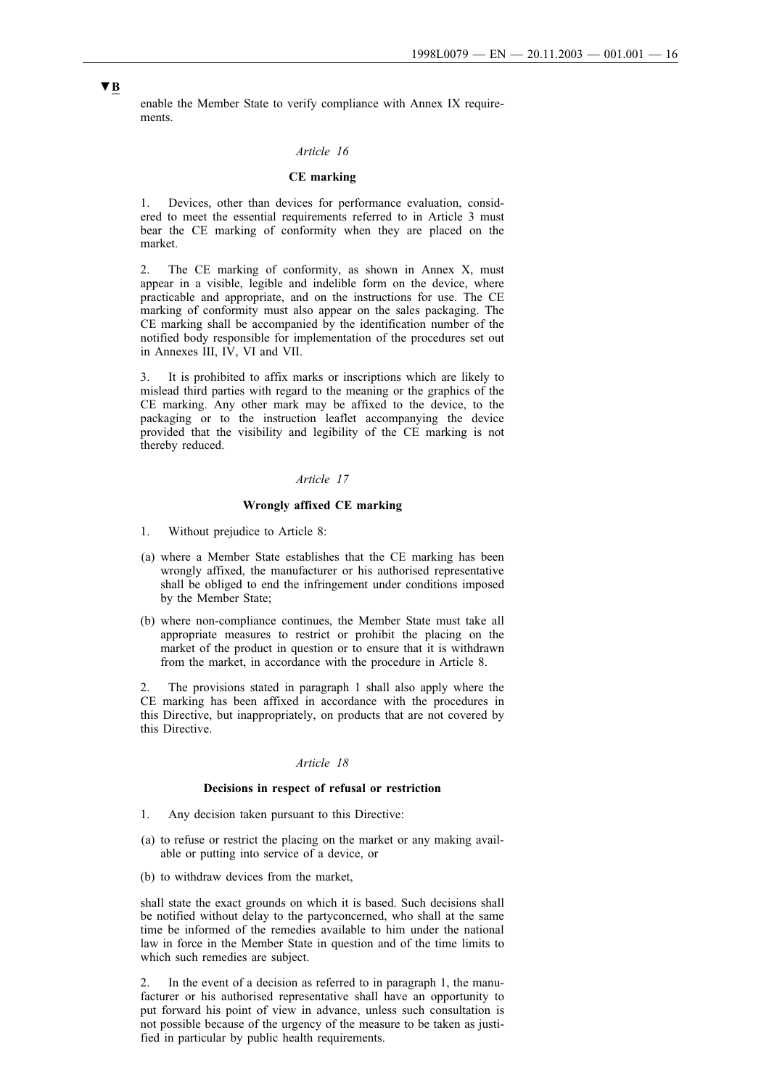enable the Member State to verify compliance with Annex IX requirements.

## *Article 16*

### **CE marking**

1. Devices, other than devices for performance evaluation, considered to meet the essential requirements referred to in Article 3 must bear the CE marking of conformity when they are placed on the market.

2. The CE marking of conformity, as shown in Annex X, must appear in a visible, legible and indelible form on the device, where practicable and appropriate, and on the instructions for use. The CE marking of conformity must also appear on the sales packaging. The CE marking shall be accompanied by the identification number of the notified body responsible for implementation of the procedures set out in Annexes III, IV, VI and VII.

3. It is prohibited to affix marks or inscriptions which are likely to mislead third parties with regard to the meaning or the graphics of the CE marking. Any other mark may be affixed to the device, to the packaging or to the instruction leaflet accompanying the device provided that the visibility and legibility of the CE marking is not thereby reduced.

## *Article 17*

## **Wrongly affixed CE marking**

- 1. Without prejudice to Article 8:
- (a) where a Member State establishes that the CE marking has been wrongly affixed, the manufacturer or his authorised representative shall be obliged to end the infringement under conditions imposed by the Member State;
- (b) where non-compliance continues, the Member State must take all appropriate measures to restrict or prohibit the placing on the market of the product in question or to ensure that it is withdrawn from the market, in accordance with the procedure in Article 8.

2. The provisions stated in paragraph 1 shall also apply where the CE marking has been affixed in accordance with the procedures in this Directive, but inappropriately, on products that are not covered by this Directive.

### *Article 18*

#### **Decisions in respect of refusal or restriction**

- 1. Any decision taken pursuant to this Directive:
- (a) to refuse or restrict the placing on the market or any making available or putting into service of a device, or
- (b) to withdraw devices from the market,

shall state the exact grounds on which it is based. Such decisions shall be notified without delay to the partyconcerned, who shall at the same time be informed of the remedies available to him under the national law in force in the Member State in question and of the time limits to which such remedies are subject.

2. In the event of a decision as referred to in paragraph 1, the manufacturer or his authorised representative shall have an opportunity to put forward his point of view in advance, unless such consultation is not possible because of the urgency of the measure to be taken as justified in particular by public health requirements.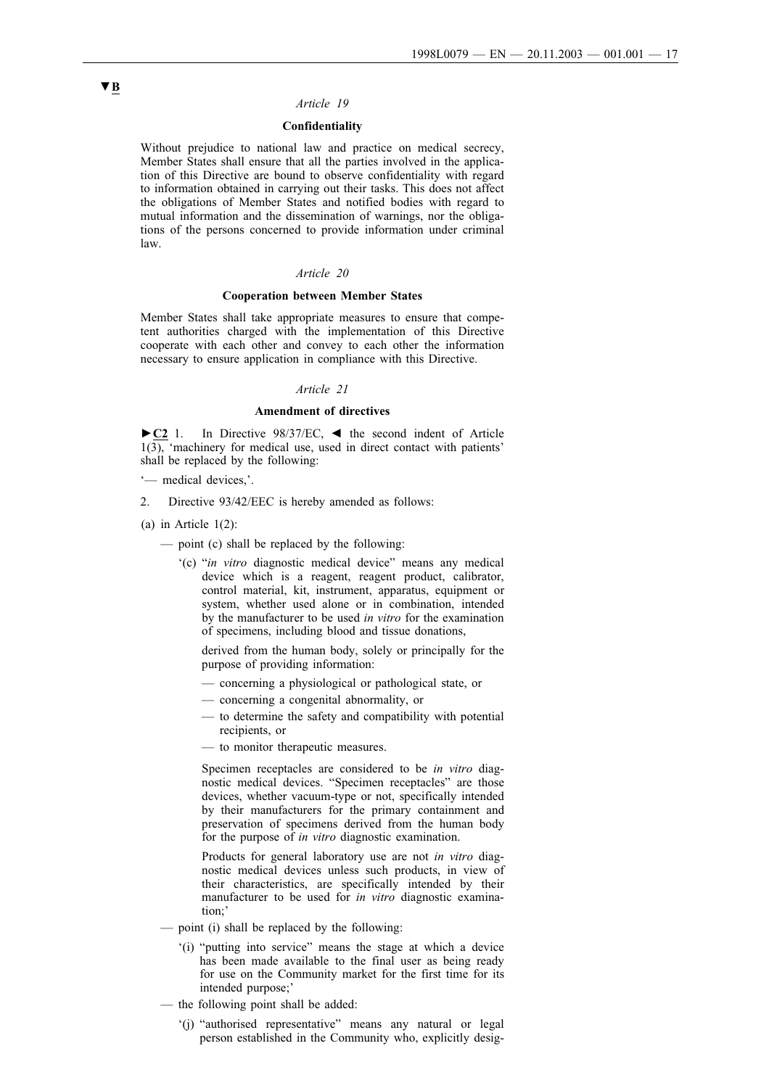### *Article 19*

### **Confidentiality**

Without prejudice to national law and practice on medical secrecy, Member States shall ensure that all the parties involved in the application of this Directive are bound to observe confidentiality with regard to information obtained in carrying out their tasks. This does not affect the obligations of Member States and notified bodies with regard to mutual information and the dissemination of warnings, nor the obligations of the persons concerned to provide information under criminal law.

#### *Article 20*

#### **Cooperation between Member States**

Member States shall take appropriate measures to ensure that competent authorities charged with the implementation of this Directive cooperate with each other and convey to each other the information necessary to ensure application in compliance with this Directive.

## *Article 21*

#### **Amendment of directives**

►**C2** 1. In Directive 98/37/EC, ◄ the second indent of Article  $1(3)$ , 'machinery for medical use, used in direct contact with patients' shall be replaced by the following:

'— medical devices,'.

- 2. Directive 93/42/EEC is hereby amended as follows:
- (a) in Article 1(2):
	- point (c) shall be replaced by the following:
		- '(c) "*in vitro* diagnostic medical device" means any medical device which is a reagent, reagent product, calibrator, control material, kit, instrument, apparatus, equipment or system, whether used alone or in combination, intended by the manufacturer to be used *in vitro* for the examination of specimens, including blood and tissue donations,

derived from the human body, solely or principally for the purpose of providing information:

- concerning a physiological or pathological state, or
- concerning a congenital abnormality, or
- to determine the safety and compatibility with potential recipients, or
- to monitor therapeutic measures.

Specimen receptacles are considered to be *in vitro* diagnostic medical devices. "Specimen receptacles" are those devices, whether vacuum-type or not, specifically intended by their manufacturers for the primary containment and preservation of specimens derived from the human body for the purpose of *in vitro* diagnostic examination.

Products for general laboratory use are not *in vitro* diagnostic medical devices unless such products, in view of their characteristics, are specifically intended by their manufacturer to be used for *in vitro* diagnostic examination;'

- point (i) shall be replaced by the following:
	- '(i) "putting into service" means the stage at which a device has been made available to the final user as being ready for use on the Community market for the first time for its intended purpose;'
- the following point shall be added:
	- '(j) "authorised representative" means any natural or legal person established in the Community who, explicitly desig-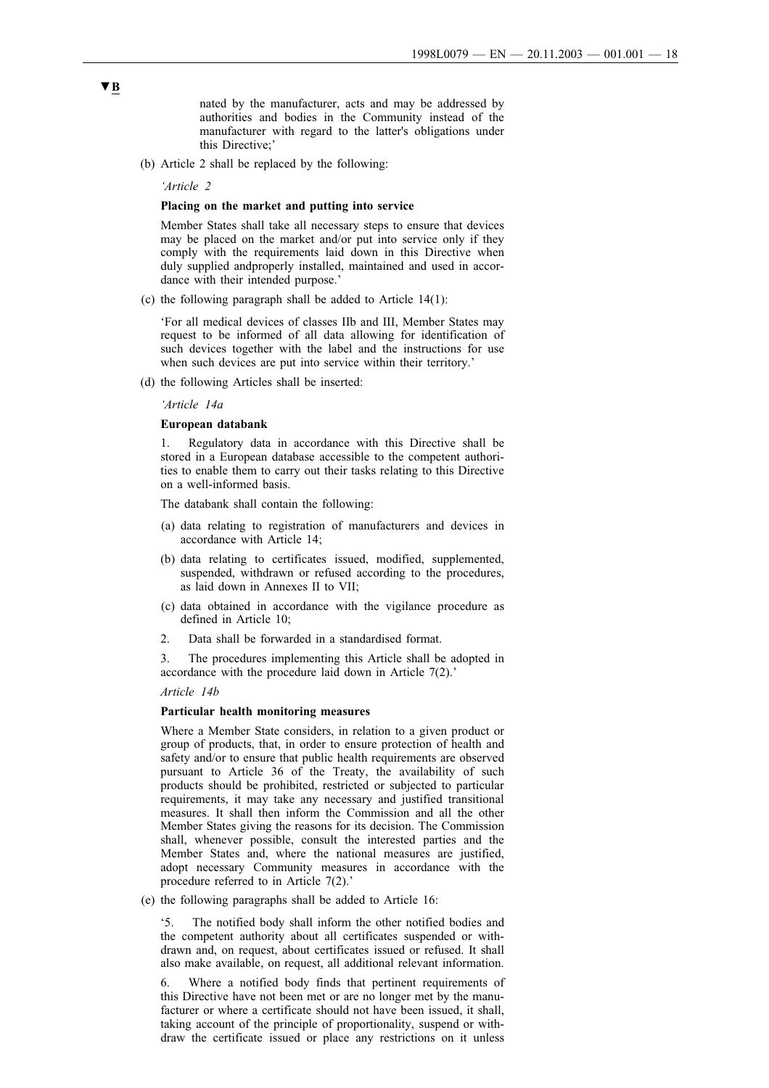nated by the manufacturer, acts and may be addressed by authorities and bodies in the Community instead of the manufacturer with regard to the latter's obligations under this Directive;'

(b) Article 2 shall be replaced by the following:

*'Article 2*

## **Placing on the market and putting into service**

Member States shall take all necessary steps to ensure that devices may be placed on the market and/or put into service only if they comply with the requirements laid down in this Directive when duly supplied andproperly installed, maintained and used in accordance with their intended purpose.'

(c) the following paragraph shall be added to Article 14(1):

'For all medical devices of classes IIb and III, Member States may request to be informed of all data allowing for identification of such devices together with the label and the instructions for use when such devices are put into service within their territory.'

(d) the following Articles shall be inserted:

*'Article 14a*

#### **European databank**

1. Regulatory data in accordance with this Directive shall be stored in a European database accessible to the competent authorities to enable them to carry out their tasks relating to this Directive on a well-informed basis.

The databank shall contain the following:

- (a) data relating to registration of manufacturers and devices in accordance with Article 14;
- (b) data relating to certificates issued, modified, supplemented, suspended, withdrawn or refused according to the procedures, as laid down in Annexes II to VII;
- (c) data obtained in accordance with the vigilance procedure as defined in Article 10;
- 2. Data shall be forwarded in a standardised format.

3. The procedures implementing this Article shall be adopted in accordance with the procedure laid down in Article  $7(2)$ .'

#### *Article 14b*

#### **Particular health monitoring measures**

Where a Member State considers, in relation to a given product or group of products, that, in order to ensure protection of health and safety and/or to ensure that public health requirements are observed pursuant to Article 36 of the Treaty, the availability of such products should be prohibited, restricted or subjected to particular requirements, it may take any necessary and justified transitional measures. It shall then inform the Commission and all the other Member States giving the reasons for its decision. The Commission shall, whenever possible, consult the interested parties and the Member States and, where the national measures are justified, adopt necessary Community measures in accordance with the procedure referred to in Article 7(2).'

(e) the following paragraphs shall be added to Article 16:

'5. The notified body shall inform the other notified bodies and the competent authority about all certificates suspended or withdrawn and, on request, about certificates issued or refused. It shall also make available, on request, all additional relevant information.

6. Where a notified body finds that pertinent requirements of this Directive have not been met or are no longer met by the manufacturer or where a certificate should not have been issued, it shall, taking account of the principle of proportionality, suspend or withdraw the certificate issued or place any restrictions on it unless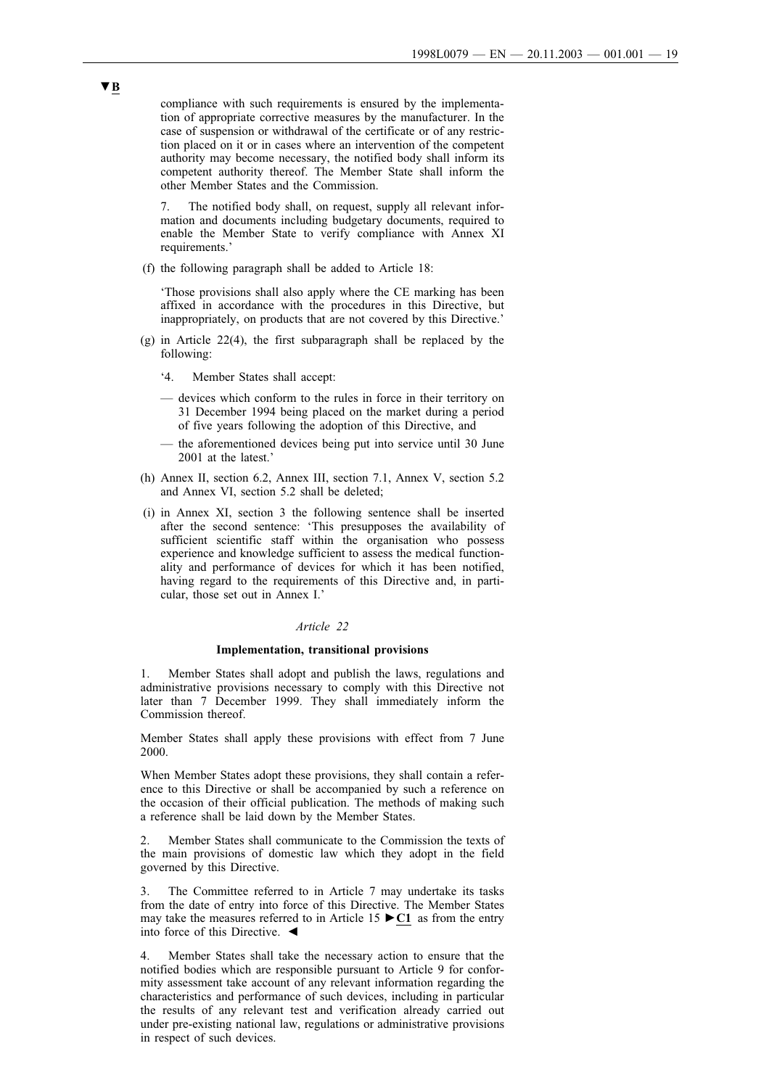compliance with such requirements is ensured by the implementation of appropriate corrective measures by the manufacturer. In the case of suspension or withdrawal of the certificate or of any restriction placed on it or in cases where an intervention of the competent authority may become necessary, the notified body shall inform its competent authority thereof. The Member State shall inform the other Member States and the Commission.

The notified body shall, on request, supply all relevant information and documents including budgetary documents, required to enable the Member State to verify compliance with Annex XI requirements.'

(f) the following paragraph shall be added to Article 18:

'Those provisions shall also apply where the CE marking has been affixed in accordance with the procedures in this Directive, but inappropriately, on products that are not covered by this Directive.'

- (g) in Article 22(4), the first subparagraph shall be replaced by the following:
	- '4. Member States shall accept:
	- devices which conform to the rules in force in their territory on 31 December 1994 being placed on the market during a period of five years following the adoption of this Directive, and
	- the aforementioned devices being put into service until 30 June 2001 at the latest.'
- (h) Annex II, section 6.2, Annex III, section 7.1, Annex V, section 5.2 and Annex VI, section 5.2 shall be deleted;
- (i) in Annex XI, section 3 the following sentence shall be inserted after the second sentence: 'This presupposes the availability of sufficient scientific staff within the organisation who possess experience and knowledge sufficient to assess the medical functionality and performance of devices for which it has been notified, having regard to the requirements of this Directive and, in particular, those set out in Annex I.'

#### *Article 22*

## **Implementation, transitional provisions**

1. Member States shall adopt and publish the laws, regulations and administrative provisions necessary to comply with this Directive not later than 7 December 1999. They shall immediately inform the Commission thereof.

Member States shall apply these provisions with effect from 7 June 2000.

When Member States adopt these provisions, they shall contain a reference to this Directive or shall be accompanied by such a reference on the occasion of their official publication. The methods of making such a reference shall be laid down by the Member States.

2. Member States shall communicate to the Commission the texts of the main provisions of domestic law which they adopt in the field governed by this Directive.

The Committee referred to in Article 7 may undertake its tasks from the date of entry into force of this Directive. The Member States may take the measures referred to in Article 15 ►**C1** as from the entry into force of this Directive. ◄

4. Member States shall take the necessary action to ensure that the notified bodies which are responsible pursuant to Article 9 for conformity assessment take account of any relevant information regarding the characteristics and performance of such devices, including in particular the results of any relevant test and verification already carried out under pre-existing national law, regulations or administrative provisions in respect of such devices.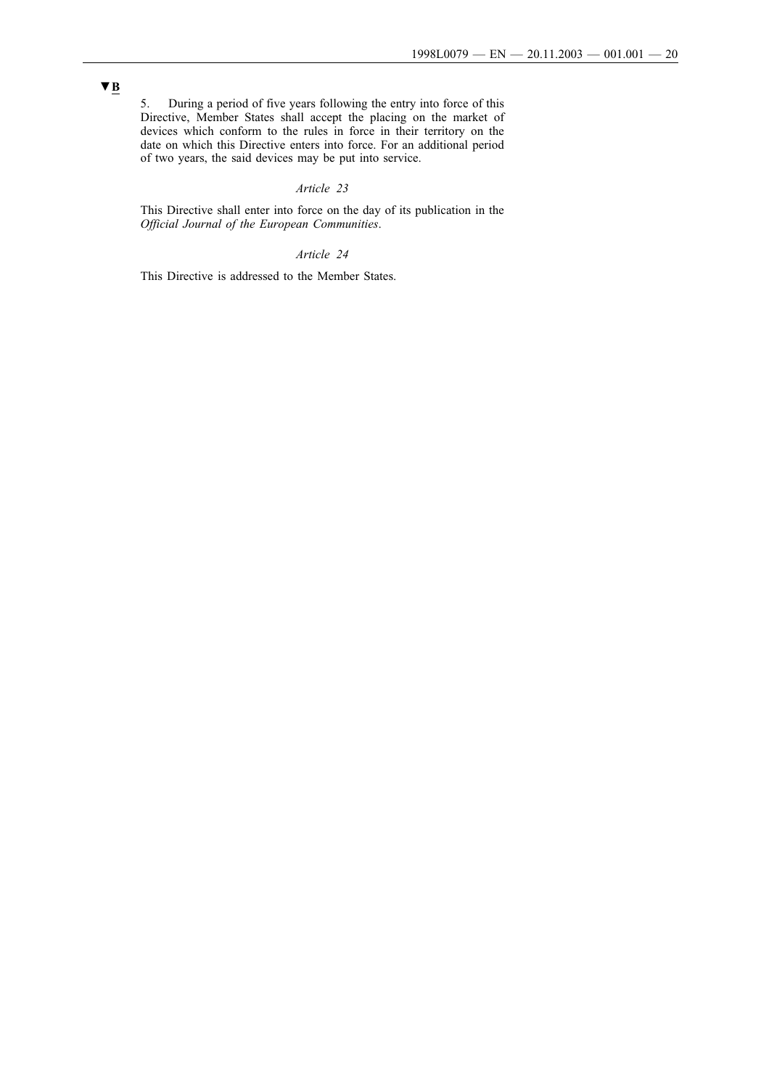## 5. During a period of five years following the entry into force of this Directive, Member States shall accept the placing on the market of devices which conform to the rules in force in their territory on the date on which this Directive enters into force. For an additional period of two years, the said devices may be put into service.

### *Article 23*

This Directive shall enter into force on the day of its publication in the *Official Journal of the European Communities*.

## *Article 24*

This Directive is addressed to the Member States.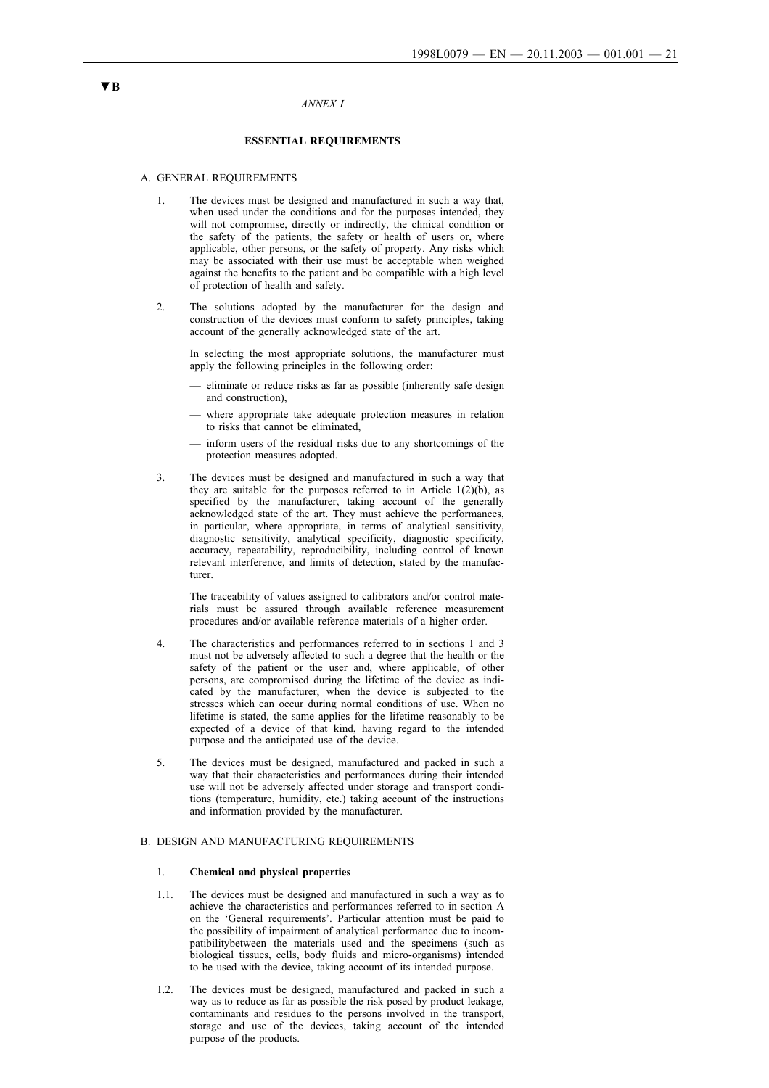#### *ANNEX I*

### **ESSENTIAL REQUIREMENTS**

#### A. GENERAL REQUIREMENTS

- 1. The devices must be designed and manufactured in such a way that, when used under the conditions and for the purposes intended, they will not compromise, directly or indirectly, the clinical condition or the safety of the patients, the safety or health of users or, where applicable, other persons, or the safety of property. Any risks which may be associated with their use must be acceptable when weighed against the benefits to the patient and be compatible with a high level of protection of health and safety.
- 2. The solutions adopted by the manufacturer for the design and construction of the devices must conform to safety principles, taking account of the generally acknowledged state of the art.

In selecting the most appropriate solutions, the manufacturer must apply the following principles in the following order:

- eliminate or reduce risks as far as possible (inherently safe design and construction),
- where appropriate take adequate protection measures in relation to risks that cannot be eliminated,
- inform users of the residual risks due to any shortcomings of the protection measures adopted.
- 3. The devices must be designed and manufactured in such a way that they are suitable for the purposes referred to in Article  $1(2)(b)$ , as specified by the manufacturer, taking account of the generally acknowledged state of the art. They must achieve the performances, in particular, where appropriate, in terms of analytical sensitivity, diagnostic sensitivity, analytical specificity, diagnostic specificity, accuracy, repeatability, reproducibility, including control of known relevant interference, and limits of detection, stated by the manufacturer.

The traceability of values assigned to calibrators and/or control materials must be assured through available reference measurement procedures and/or available reference materials of a higher order.

- 4. The characteristics and performances referred to in sections 1 and 3 must not be adversely affected to such a degree that the health or the safety of the patient or the user and, where applicable, of other persons, are compromised during the lifetime of the device as indicated by the manufacturer, when the device is subjected to the stresses which can occur during normal conditions of use. When no lifetime is stated, the same applies for the lifetime reasonably to be expected of a device of that kind, having regard to the intended purpose and the anticipated use of the device.
- 5. The devices must be designed, manufactured and packed in such a way that their characteristics and performances during their intended use will not be adversely affected under storage and transport conditions (temperature, humidity, etc.) taking account of the instructions and information provided by the manufacturer.

#### B. DESIGN AND MANUFACTURING REQUIREMENTS

#### 1. **Chemical and physical properties**

- 1.1. The devices must be designed and manufactured in such a way as to achieve the characteristics and performances referred to in section A on the 'General requirements'. Particular attention must be paid to the possibility of impairment of analytical performance due to incompatibilitybetween the materials used and the specimens (such as biological tissues, cells, body fluids and micro-organisms) intended to be used with the device, taking account of its intended purpose.
- 1.2. The devices must be designed, manufactured and packed in such a way as to reduce as far as possible the risk posed by product leakage, contaminants and residues to the persons involved in the transport, storage and use of the devices, taking account of the intended purpose of the products.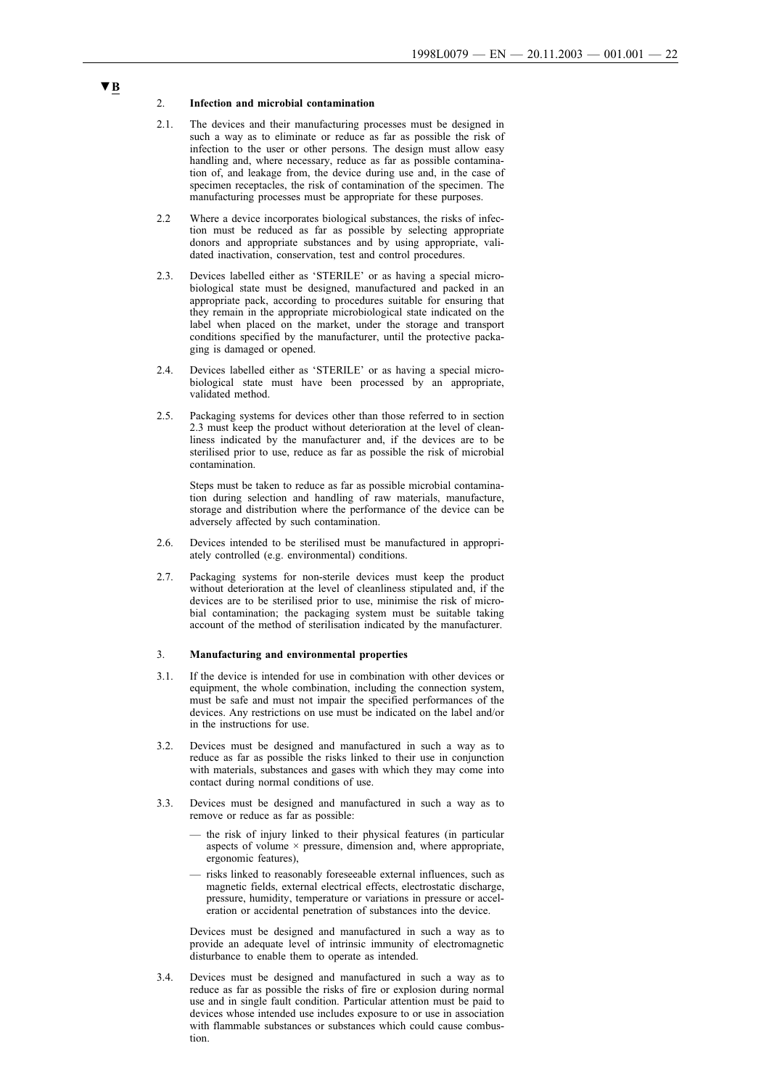#### 2. **Infection and microbial contamination**

- 2.1. The devices and their manufacturing processes must be designed in such a way as to eliminate or reduce as far as possible the risk of infection to the user or other persons. The design must allow easy handling and, where necessary, reduce as far as possible contamination of, and leakage from, the device during use and, in the case of specimen receptacles, the risk of contamination of the specimen. The manufacturing processes must be appropriate for these purposes.
- 2.2 Where a device incorporates biological substances, the risks of infection must be reduced as far as possible by selecting appropriate donors and appropriate substances and by using appropriate, validated inactivation, conservation, test and control procedures.
- 2.3. Devices labelled either as 'STERILE' or as having a special microbiological state must be designed, manufactured and packed in an appropriate pack, according to procedures suitable for ensuring that they remain in the appropriate microbiological state indicated on the label when placed on the market, under the storage and transport conditions specified by the manufacturer, until the protective packaging is damaged or opened.
- 2.4. Devices labelled either as 'STERILE' or as having a special microbiological state must have been processed by an appropriate, validated method.
- 2.5. Packaging systems for devices other than those referred to in section 2.3 must keep the product without deterioration at the level of cleanliness indicated by the manufacturer and, if the devices are to be sterilised prior to use, reduce as far as possible the risk of microbial contamination.

Steps must be taken to reduce as far as possible microbial contamination during selection and handling of raw materials, manufacture, storage and distribution where the performance of the device can be adversely affected by such contamination.

- 2.6. Devices intended to be sterilised must be manufactured in appropriately controlled (e.g. environmental) conditions.
- 2.7. Packaging systems for non-sterile devices must keep the product without deterioration at the level of cleanliness stipulated and, if the devices are to be sterilised prior to use, minimise the risk of microbial contamination; the packaging system must be suitable taking account of the method of sterilisation indicated by the manufacturer.

#### 3. **Manufacturing and environmental properties**

- 3.1. If the device is intended for use in combination with other devices or equipment, the whole combination, including the connection system, must be safe and must not impair the specified performances of the devices. Any restrictions on use must be indicated on the label and/or in the instructions for use.
- 3.2. Devices must be designed and manufactured in sucha way as to reduce as far as possible the risks linked to their use in conjunction with materials, substances and gases with which they may come into contact during normal conditions of use.
- 3.3. Devices must be designed and manufactured in sucha way as to remove or reduce as far as possible:
	- the risk of injury linked to their physical features (in particular aspects of volume × pressure, dimension and, where appropriate, ergonomic features),
	- risks linked to reasonably foreseeable external influences, suchas magnetic fields, external electrical effects, electrostatic discharge, pressure, humidity, temperature or variations in pressure or acceleration or accidental penetration of substances into the device.

Devices must be designed and manufactured in such a way as to provide an adequate level of intrinsic immunity of electromagnetic disturbance to enable them to operate as intended.

3.4. Devices must be designed and manufactured in such a way as to reduce as far as possible the risks of fire or explosion during normal use and in single fault condition. Particular attention must be paid to devices whose intended use includes exposure to or use in association with flammable substances or substances which could cause combustion.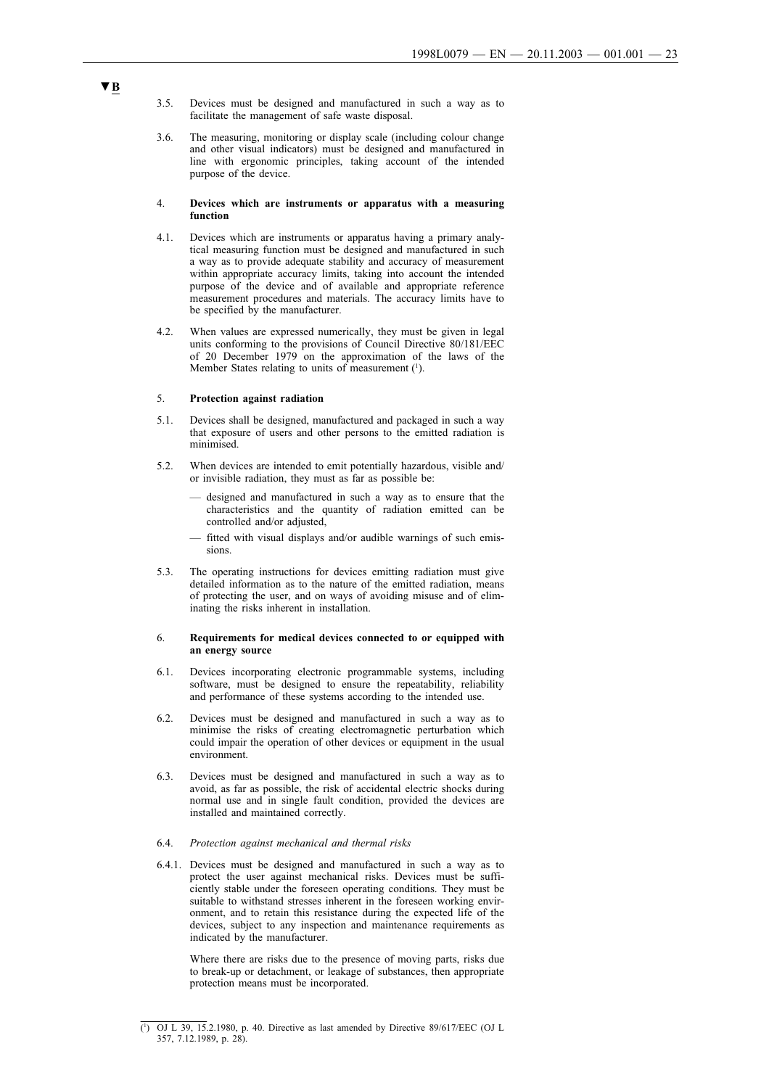- 3.5. Devices must be designed and manufactured in sucha way as to facilitate the management of safe waste disposal.
- 3.6. The measuring, monitoring or display scale (including colour change and other visual indicators) must be designed and manufactured in line with ergonomic principles, taking account of the intended purpose of the device.

#### 4. **Devices which are instruments or apparatus with a measuring function**

- 4.1. Devices which are instruments or apparatus having a primary analytical measuring function must be designed and manufactured in such a way as to provide adequate stability and accuracy of measurement within appropriate accuracy limits, taking into account the intended purpose of the device and of available and appropriate reference measurement procedures and materials. The accuracy limits have to be specified by the manufacturer.
- 4.2. When values are expressed numerically, they must be given in legal units conforming to the provisions of Council Directive 80/181/EEC of 20 December 1979 on the approximation of the laws of the Member States relating to units of measurement  $(1)$ .

#### 5. **Protection against radiation**

- 5.1. Devices shall be designed, manufactured and packaged in such a way that exposure of users and other persons to the emitted radiation is minimised.
- 5.2. When devices are intended to emit potentially hazardous, visible and/ or invisible radiation, they must as far as possible be:
	- designed and manufactured in such a way as to ensure that the characteristics and the quantity of radiation emitted can be controlled and/or adjusted,
	- fitted with visual displays and/or audible warnings of such emissions.
- 5.3. The operating instructions for devices emitting radiation must give detailed information as to the nature of the emitted radiation, means of protecting the user, and on ways of avoiding misuse and of eliminating the risks inherent in installation.

#### 6. **Requirements for medical devices connected to or equipped with an energy source**

- 6.1. Devices incorporating electronic programmable systems, including software, must be designed to ensure the repeatability, reliability and performance of these systems according to the intended use.
- 6.2. Devices must be designed and manufactured in sucha way as to minimise the risks of creating electromagnetic perturbation which could impair the operation of other devices or equipment in the usual environment.
- 6.3. Devices must be designed and manufactured in sucha way as to avoid, as far as possible, the risk of accidental electric shocks during normal use and in single fault condition, provided the devices are installed and maintained correctly.

#### 6.4. *Protection against mechanical and thermal risks*

6.4.1. Devices must be designed and manufactured in sucha way as to protect the user against mechanical risks. Devices must be sufficiently stable under the foreseen operating conditions. They must be suitable to withstand stresses inherent in the foreseen working environment, and to retain this resistance during the expected life of the devices, subject to any inspection and maintenance requirements as indicated by the manufacturer.

Where there are risks due to the presence of moving parts, risks due to break-up or detachment, or leakage of substances, then appropriate protection means must be incorporated.

<sup>(</sup> 1 ) OJ L 39, 15.2.1980, p. 40. Directive as last amended by Directive 89/617/EEC (OJ L 357, 7.12.1989, p. 28).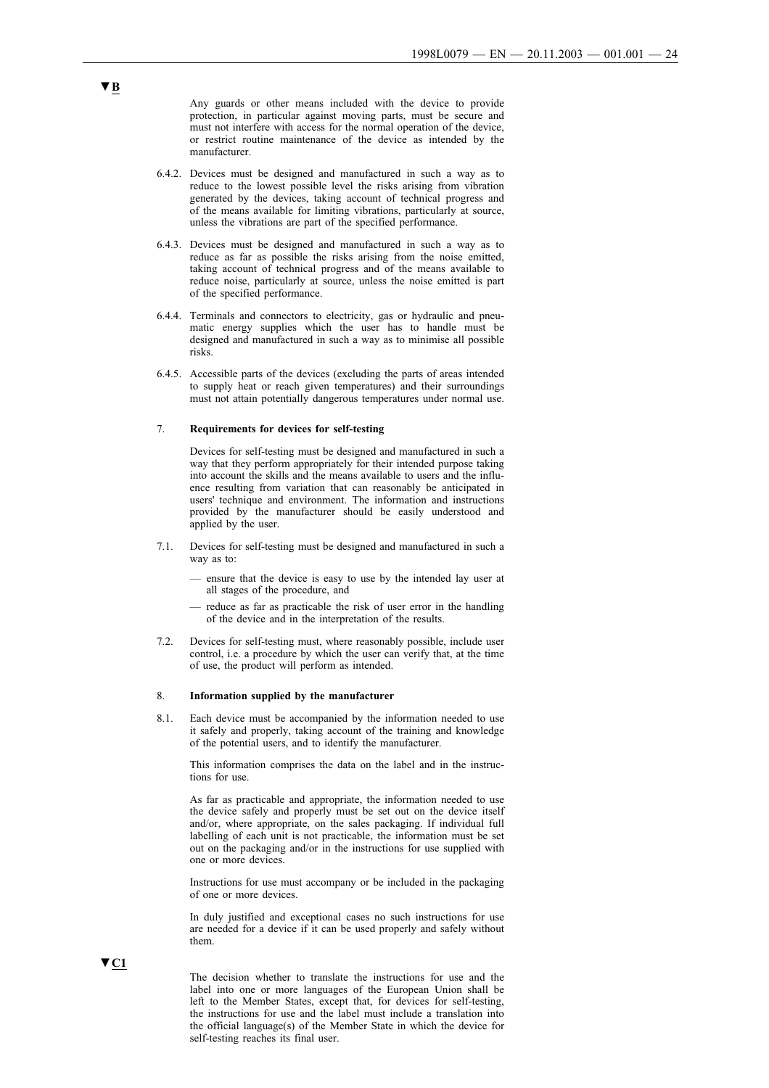Any guards or other means included with the device to provide protection, in particular against moving parts, must be secure and must not interfere with access for the normal operation of the device. or restrict routine maintenance of the device as intended by the manufacturer.

- 6.4.2. Devices must be designed and manufactured in sucha way as to reduce to the lowest possible level the risks arising from vibration generated by the devices, taking account of technical progress and of the means available for limiting vibrations, particularly at source, unless the vibrations are part of the specified performance.
- 6.4.3. Devices must be designed and manufactured in sucha way as to reduce as far as possible the risks arising from the noise emitted, taking account of technical progress and of the means available to reduce noise, particularly at source, unless the noise emitted is part of the specified performance.
- 6.4.4. Terminals and connectors to electricity, gas or hydraulic and pneumatic energy supplies which the user has to handle must be designed and manufactured in such a way as to minimise all possible risks.
- 6.4.5. Accessible parts of the devices (excluding the parts of areas intended to supply heat or reach given temperatures) and their surroundings must not attain potentially dangerous temperatures under normal use.

#### 7. **Requirements for devices for self-testing**

Devices for self-testing must be designed and manufactured in such a way that they perform appropriately for their intended purpose taking into account the skills and the means available to users and the influence resulting from variation that can reasonably be anticipated in users' technique and environment. The information and instructions provided by the manufacturer should be easily understood and applied by the user.

- 7.1. Devices for self-testing must be designed and manufactured in sucha way as to:
	- ensure that the device is easy to use by the intended lay user at all stages of the procedure, and
	- reduce as far as practicable the risk of user error in the handling of the device and in the interpretation of the results.
- 7.2. Devices for self-testing must, where reasonably possible, include user control, i.e. a procedure by which the user can verify that, at the time of use, the product will perform as intended.

#### 8. **Information supplied by the manufacturer**

8.1. Each device must be accompanied by the information needed to use it safely and properly, taking account of the training and knowledge of the potential users, and to identify the manufacturer.

This information comprises the data on the label and in the instructions for use.

As far as practicable and appropriate, the information needed to use the device safely and properly must be set out on the device itself and/or, where appropriate, on the sales packaging. If individual full labelling of each unit is not practicable, the information must be set out on the packaging and/or in the instructions for use supplied with one or more devices.

Instructions for use must accompany or be included in the packaging of one or more devices.

In duly justified and exceptional cases no such instructions for use are needed for a device if it can be used properly and safely without them.

▼**C1**

The decision whether to translate the instructions for use and the label into one or more languages of the European Union shall be left to the Member States, except that, for devices for self-testing, the instructions for use and the label must include a translation into the official language(s) of the Member State in which the device for self-testing reaches its final user.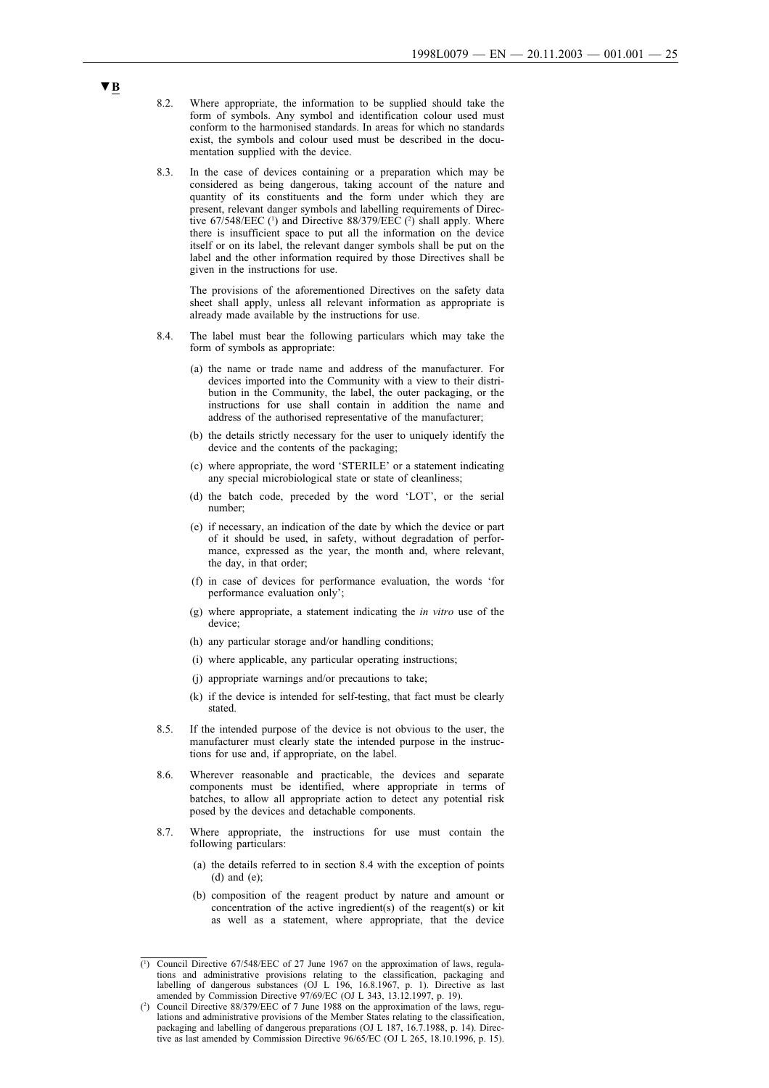- 8.2. Where appropriate, the information to be supplied should take the form of symbols. Any symbol and identification colour used must conform to the harmonised standards. In areas for which no standards exist, the symbols and colour used must be described in the documentation supplied with the device.
- 8.3. In the case of devices containing or a preparation which may be considered as being dangerous, taking account of the nature and quantity of its constituents and the form under which they are present, relevant danger symbols and labelling requirements of Directive  $67/548/EEC$  ( $\text{ }$ ) and Directive  $88/379/EEC$  ( $\text{ }$ ) shall apply. Where there is insufficient space to put all the information on the device itself or on its label, the relevant danger symbols shall be put on the label and the other information required by those Directives shall be given in the instructions for use.

The provisions of the aforementioned Directives on the safety data sheet shall apply, unless all relevant information as appropriate is already made available by the instructions for use.

- 8.4. The label must bear the following particulars which may take the form of symbols as appropriate:
	- (a) the name or trade name and address of the manufacturer. For devices imported into the Community with a view to their distribution in the Community, the label, the outer packaging, or the instructions for use shall contain in addition the name and address of the authorised representative of the manufacturer;
	- (b) the details strictly necessary for the user to uniquely identify the device and the contents of the packaging;
	- (c) where appropriate, the word 'STERILE' or a statement indicating any special microbiological state or state of cleanliness;
	- (d) the batch code, preceded by the word 'LOT', or the serial number;
	- (e) if necessary, an indication of the date by which the device or part of it should be used, in safety, without degradation of performance, expressed as the year, the month and, where relevant, the day, in that order;
	- (f) in case of devices for performance evaluation, the words 'for performance evaluation only';
	- (g) where appropriate, a statement indicating the *in vitro* use of the device;
	- (h) any particular storage and/or handling conditions;
	- (i) where applicable, any particular operating instructions;
	- (j) appropriate warnings and/or precautions to take;
	- (k) if the device is intended for self-testing, that fact must be clearly stated.
- 8.5. If the intended purpose of the device is not obvious to the user, the manufacturer must clearly state the intended purpose in the instructions for use and, if appropriate, on the label.
- 8.6. Wherever reasonable and practicable, the devices and separate components must be identified, where appropriate in terms of batches, to allow all appropriate action to detect any potential risk posed by the devices and detachable components.
- 8.7. Where appropriate, the instructions for use must contain the following particulars:
	- (a) the details referred to in section 8.4 with the exception of points (d) and (e);
	- (b) composition of the reagent product by nature and amount or concentration of the active ingredient(s) of the reagent(s) or kit as well as a statement, where appropriate, that the device

<sup>(1</sup> ) Council Directive 67/548/EEC of 27 June 1967 on the approximation of laws, regulations and administrative provisions relating to the classification, packaging and labelling of dangerous substances (OJ L 196, 16.8.1967, p. 1). Directive as last amended by Commission Directive 97/69/EC (OJ L 343, 13.12.1997, p. 19).

 $(^2$ ) Council Directive 88/379/EEC of 7 June 1988 on the approximation of the laws, regulations and administrative provisions of the Member States relating to the classification, packaging and labelling of dangerous preparations (OJ L 187, 16.7.1988, p. 14). Directive as last amended by Commission Directive 96/65/EC (OJ L 265, 18.10.1996, p. 15).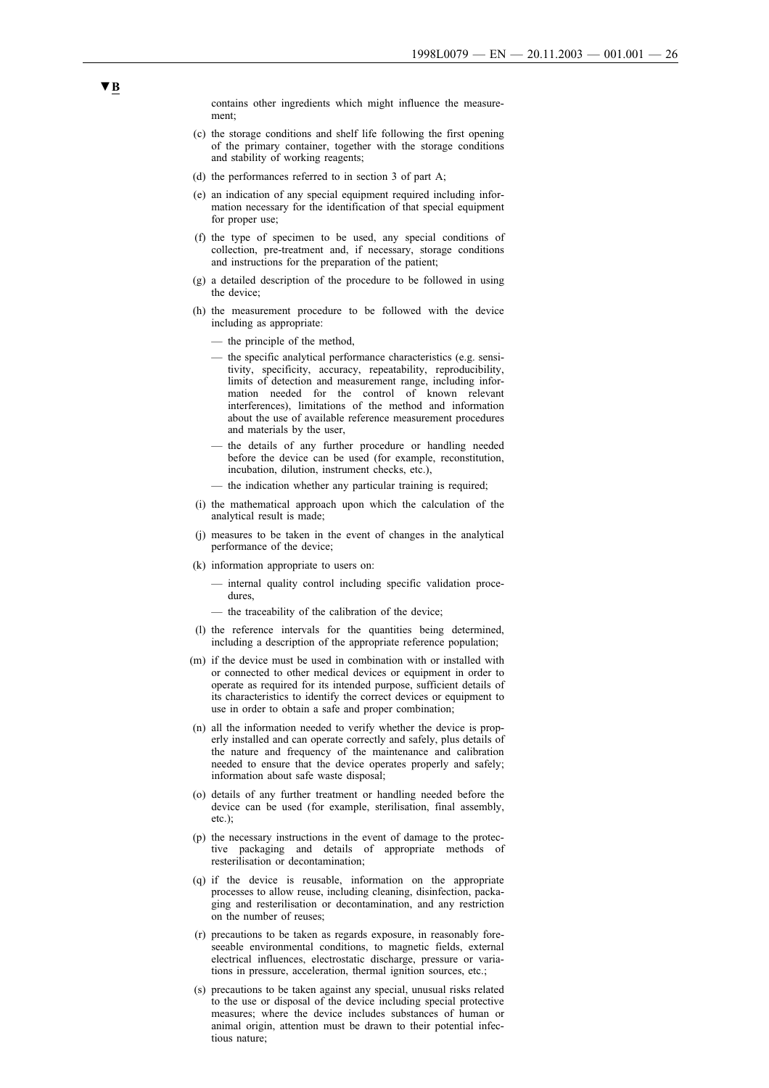contains other ingredients which might influence the measurement;

- (c) the storage conditions and shelf life following the first opening of the primary container, together with the storage conditions and stability of working reagents;
- (d) the performances referred to in section 3 of part A;
- (e) an indication of any special equipment required including information necessary for the identification of that special equipment for proper use;
- (f) the type of specimen to be used, any special conditions of collection, pre-treatment and, if necessary, storage conditions and instructions for the preparation of the patient;
- (g) a detailed description of the procedure to be followed in using the device;
- (h) the measurement procedure to be followed with the device including as appropriate:
	- the principle of the method,
	- the specific analytical performance characteristics (e.g. sensitivity, specificity, accuracy, repeatability, reproducibility, limits of detection and measurement range, including information needed for the control of known relevant interferences), limitations of the method and information about the use of available reference measurement procedures and materials by the user,
	- the details of any further procedure or handling needed before the device can be used (for example, reconstitution, incubation, dilution, instrument checks, etc.),
	- the indication whether any particular training is required;
- (i) the mathematical approach upon which the calculation of the analytical result is made;
- (j) measures to be taken in the event of changes in the analytical performance of the device;
- (k) information appropriate to users on:
	- internal quality control including specific validation procedures,
	- the traceability of the calibration of the device;
- (l) the reference intervals for the quantities being determined, including a description of the appropriate reference population;
- (m) if the device must be used in combination with or installed with or connected to other medical devices or equipment in order to operate as required for its intended purpose, sufficient details of its characteristics to identify the correct devices or equipment to use in order to obtain a safe and proper combination;
- (n) all the information needed to verify whether the device is properly installed and can operate correctly and safely, plus details of the nature and frequency of the maintenance and calibration needed to ensure that the device operates properly and safely; information about safe waste disposal;
- (o) details of any further treatment or handling needed before the device can be used (for example, sterilisation, final assembly, etc.);
- (p) the necessary instructions in the event of damage to the protective packaging and details of appropriate methods of resterilisation or decontamination;
- (q) if the device is reusable, information on the appropriate processes to allow reuse, including cleaning, disinfection, packaging and resterilisation or decontamination, and any restriction on the number of reuses;
- (r) precautions to be taken as regards exposure, in reasonably foreseeable environmental conditions, to magnetic fields, external electrical influences, electrostatic discharge, pressure or variations in pressure, acceleration, thermal ignition sources, etc.;
- (s) precautions to be taken against any special, unusual risks related to the use or disposal of the device including special protective measures; where the device includes substances of human or animal origin, attention must be drawn to their potential infectious nature;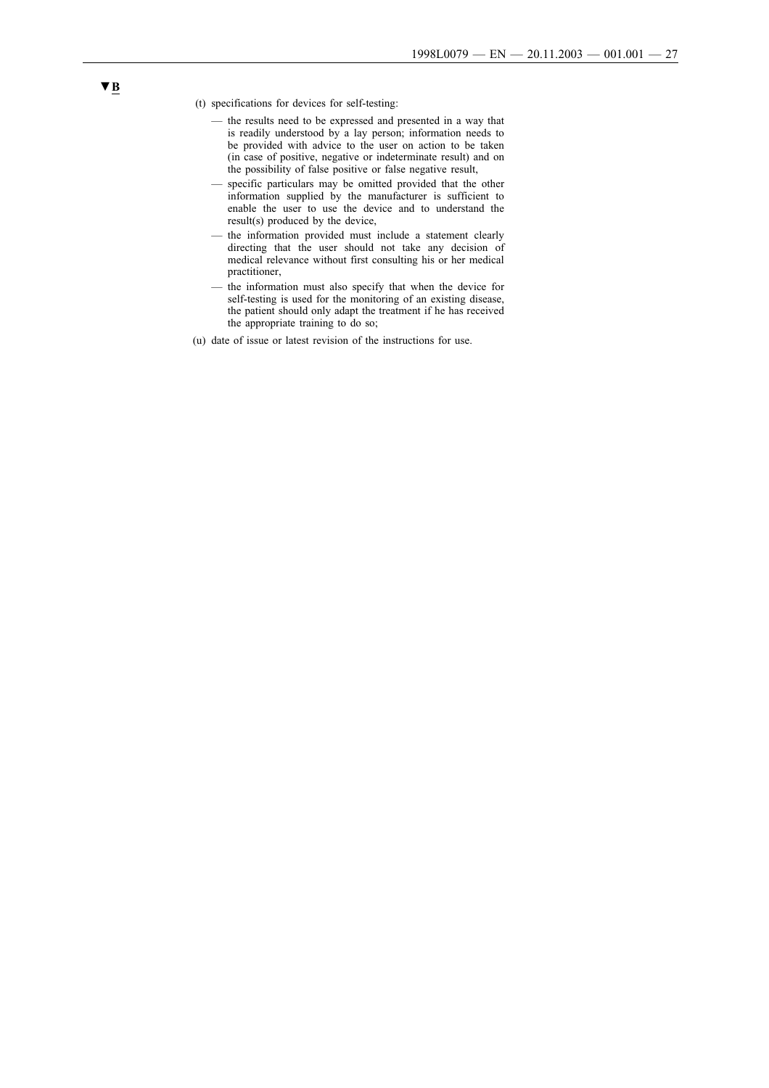- (t) specifications for devices for self-testing:
	- the results need to be expressed and presented in a way that is readily understood by a lay person; information needs to be provided with advice to the user on action to be taken (in case of positive, negative or indeterminate result) and on the possibility of false positive or false negative result,
	- specific particulars may be omitted provided that the other information supplied by the manufacturer is sufficient to enable the user to use the device and to understand the result(s) produced by the device,
	- the information provided must include a statement clearly directing that the user should not take any decision of medical relevance without first consulting his or her medical practitioner,
	- the information must also specify that when the device for self-testing is used for the monitoring of an existing disease, the patient should only adapt the treatment if he has received the appropriate training to do so;
- (u) date of issue or latest revision of the instructions for use.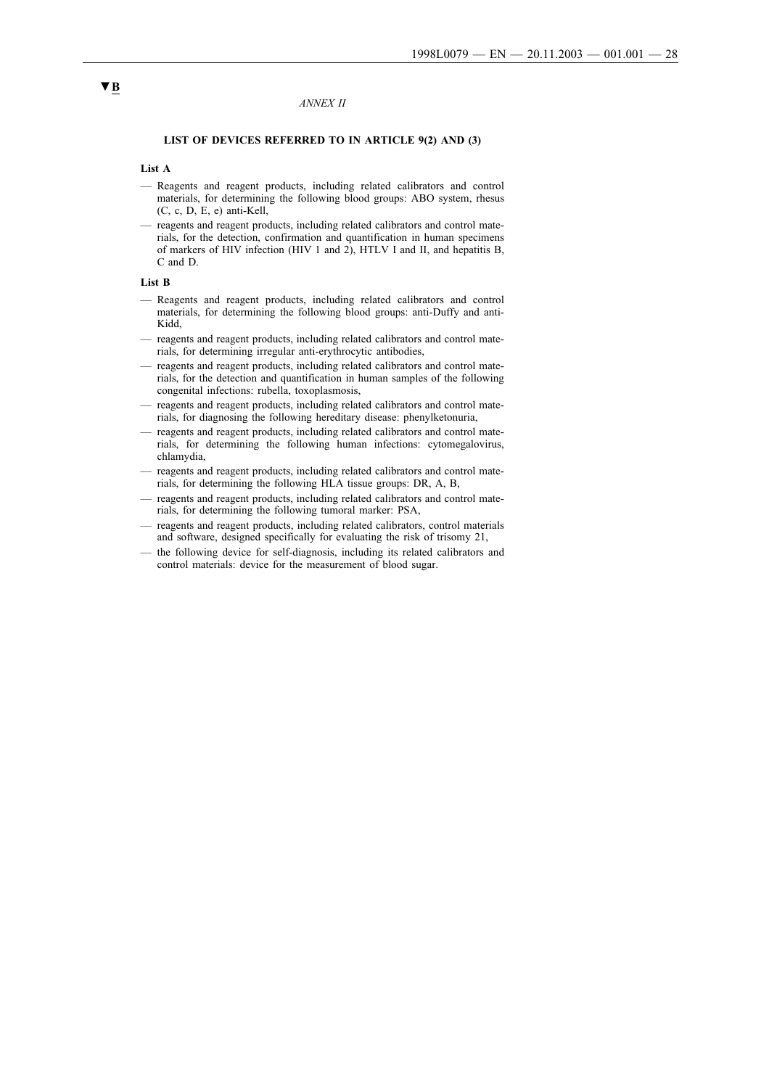#### *ANNEX II*

#### **LIST OF DEVICES REFERRED TO IN ARTICLE 9(2) AND (3)**

#### **List A**

- Reagents and reagent products, including related calibrators and control materials, for determining the following blood groups: ABO system, rhesus (C, c, D, E, e) anti-Kell,
- reagents and reagent products, including related calibrators and control materials, for the detection, confirmation and quantification in human specimens of markers of HIV infection (HIV 1 and 2), HTLV I and II, and hepatitis B, C and D.

#### **List B**

- Reagents and reagent products, including related calibrators and control materials, for determining the following blood groups: anti-Duffy and anti-Kidd,
- reagents and reagent products, including related calibrators and control materials, for determining irregular anti-erythrocytic antibodies,
- reagents and reagent products, including related calibrators and control materials, for the detection and quantification in human samples of the following congenital infections: rubella, toxoplasmosis,
- reagents and reagent products, including related calibrators and control materials, for diagnosing the following hereditary disease: phenylketonuria,
- reagents and reagent products, including related calibrators and control materials, for determining the following human infections: cytomegalovirus, chlamydia,
- reagents and reagent products, including related calibrators and control materials, for determining the following HLA tissue groups: DR, A, B,
- reagents and reagent products, including related calibrators and control materials, for determining the following tumoral marker: PSA,
- reagents and reagent products, including related calibrators, control materials and software, designed specifically for evaluating the risk of trisomy 21,
- the following device for self-diagnosis, including its related calibrators and control materials: device for the measurement of blood sugar.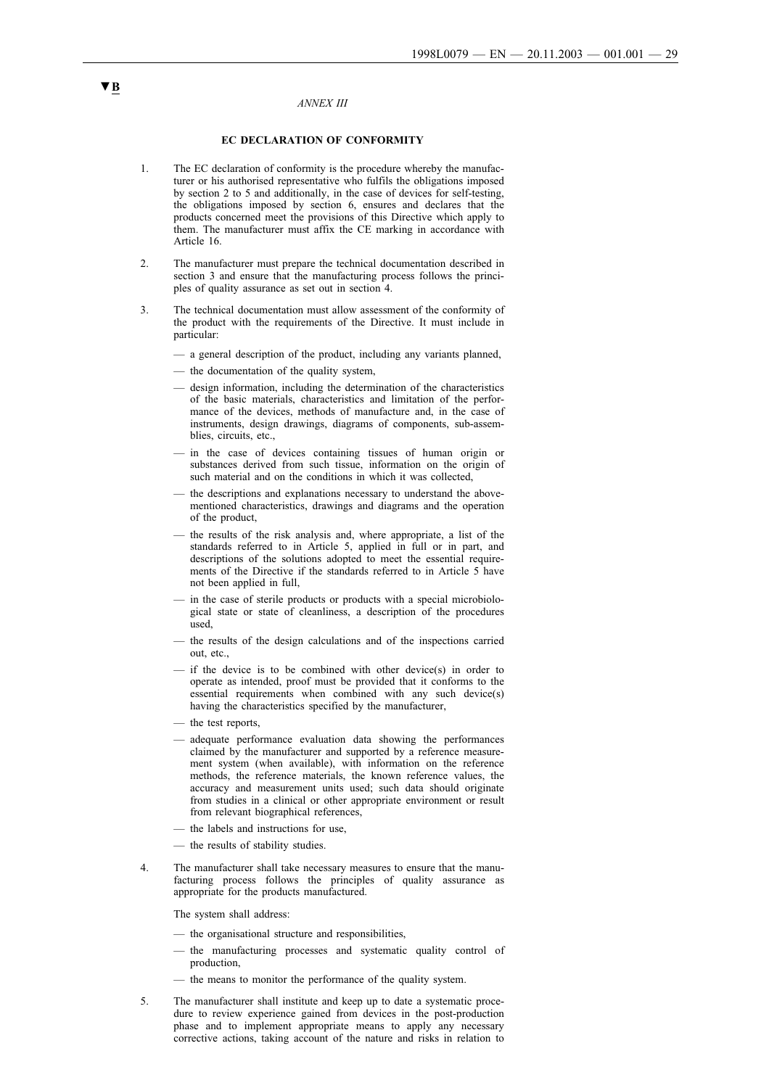#### *ANNEX III*

### **EC DECLARATION OF CONFORMITY**

- 1. The EC declaration of conformity is the procedure whereby the manufacturer or his authorised representative who fulfils the obligations imposed by section 2 to 5 and additionally, in the case of devices for self-testing, the obligations imposed by section 6, ensures and declares that the products concerned meet the provisions of this Directive which apply to them. The manufacturer must affix the CE marking in accordance with Article 16.
- 2. The manufacturer must prepare the technical documentation described in section 3 and ensure that the manufacturing process follows the principles of quality assurance as set out in section 4.
- 3. The technical documentation must allow assessment of the conformity of the product with the requirements of the Directive. It must include in particular:
	- a general description of the product, including any variants planned,
	- the documentation of the quality system,
	- design information, including the determination of the characteristics of the basic materials, characteristics and limitation of the performance of the devices, methods of manufacture and, in the case of instruments, design drawings, diagrams of components, sub-assemblies, circuits, etc.,
	- in the case of devices containing tissues of human origin or substances derived from such tissue, information on the origin of such material and on the conditions in which it was collected,
	- the descriptions and explanations necessary to understand the abovementioned characteristics, drawings and diagrams and the operation of the product,
	- the results of the risk analysis and, where appropriate, a list of the standards referred to in Article 5, applied in full or in part, and descriptions of the solutions adopted to meet the essential requirements of the Directive if the standards referred to in Article 5 have not been applied in full,
	- in the case of sterile products or products with a special microbiological state or state of cleanliness, a description of the procedures used,
	- the results of the design calculations and of the inspections carried out, etc.,
	- if the device is to be combined with other device(s) in order to operate as intended, proof must be provided that it conforms to the essential requirements when combined with any such device(s) having the characteristics specified by the manufacturer,
	- the test reports,
	- adequate performance evaluation data showing the performances claimed by the manufacturer and supported by a reference measurement system (when available), with information on the reference methods, the reference materials, the known reference values, the accuracy and measurement units used; such data should originate from studies in a clinical or other appropriate environment or result from relevant biographical references,
	- the labels and instructions for use,
	- the results of stability studies.
- 4. The manufacturer shall take necessary measures to ensure that the manufacturing process follows the principles of quality assurance as appropriate for the products manufactured.

The system shall address:

- the organisational structure and responsibilities,
- the manufacturing processes and systematic quality control of production,
- the means to monitor the performance of the quality system.
- 5. The manufacturer shall institute and keep up to date a systematic procedure to review experience gained from devices in the post-production phase and to implement appropriate means to apply any necessary corrective actions, taking account of the nature and risks in relation to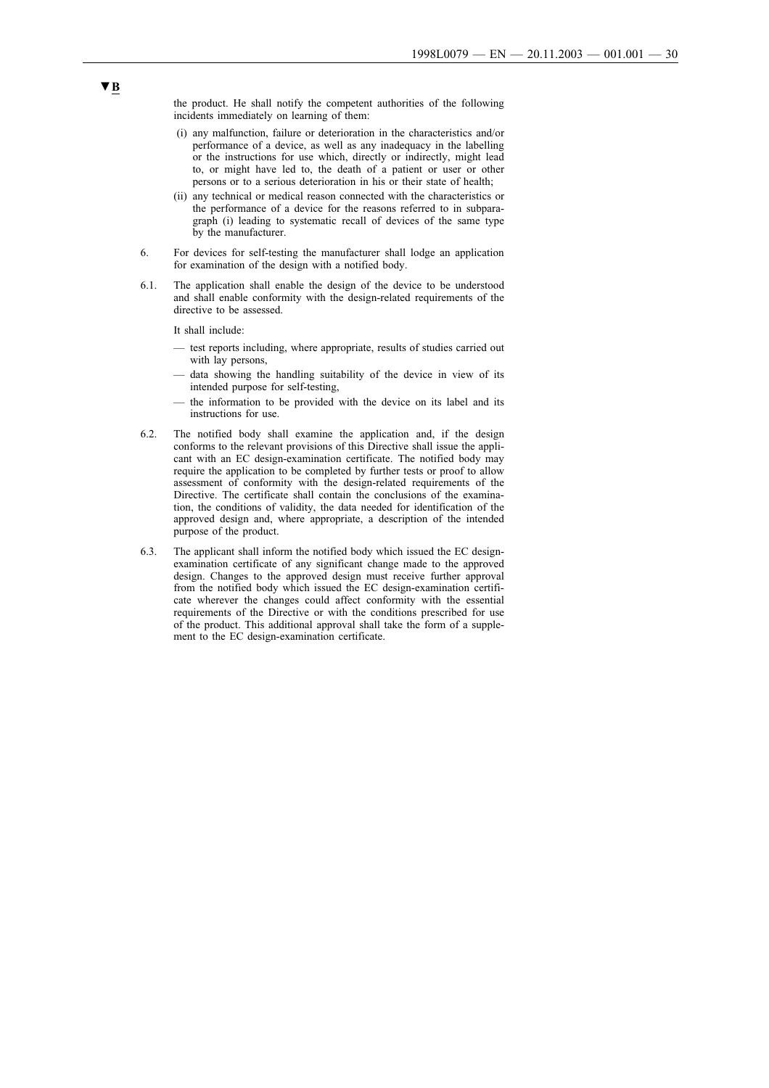the product. He shall notify the competent authorities of the following incidents immediately on learning of them:

- (i) any malfunction, failure or deterioration in the characteristics and/or performance of a device, as well as any inadequacy in the labelling or the instructions for use which, directly or indirectly, might lead to, or might have led to, the death of a patient or user or other persons or to a serious deterioration in his or their state of health;
- (ii) any technical or medical reason connected with the characteristics or the performance of a device for the reasons referred to in subparagraph (i) leading to systematic recall of devices of the same type by the manufacturer.
- 6. For devices for self-testing the manufacturer shall lodge an application for examination of the design with a notified body.
- 6.1. The application shall enable the design of the device to be understood and shall enable conformity with the design-related requirements of the directive to be assessed.

It shall include:

- test reports including, where appropriate, results of studies carried out with lay persons,
- data showing the handling suitability of the device in view of its intended purpose for self-testing,
- the information to be provided with the device on its label and its instructions for use.
- 6.2. The notified body shall examine the application and, if the design conforms to the relevant provisions of this Directive shall issue the applicant with an EC design-examination certificate. The notified body may require the application to be completed by further tests or proof to allow assessment of conformity with the design-related requirements of the Directive. The certificate shall contain the conclusions of the examination, the conditions of validity, the data needed for identification of the approved design and, where appropriate, a description of the intended purpose of the product.
- 6.3. The applicant shall inform the notified body which issued the EC designexamination certificate of any significant change made to the approved design. Changes to the approved design must receive further approval from the notified body which issued the EC design-examination certificate wherever the changes could affect conformity with the essential requirements of the Directive or with the conditions prescribed for use of the product. This additional approval shall take the form of a supplement to the EC design-examination certificate.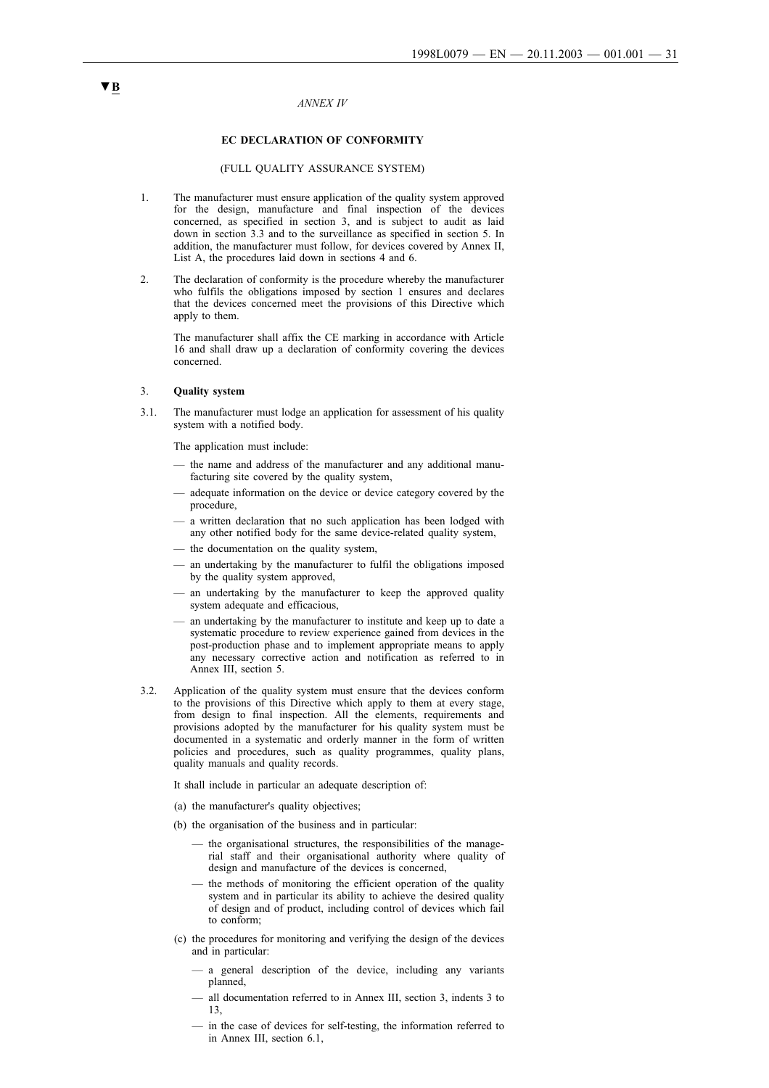#### *ANNEX IV*

### **EC DECLARATION OF CONFORMITY**

### (FULL QUALITY ASSURANCE SYSTEM)

- 1. The manufacturer must ensure application of the quality system approved for the design, manufacture and final inspection of the devices concerned, as specified in section 3, and is subject to audit as laid down in section 3.3 and to the surveillance as specified in section 5. In addition, the manufacturer must follow, for devices covered by Annex II, List A, the procedures laid down in sections 4 and 6.
- 2. The declaration of conformity is the procedure whereby the manufacturer who fulfils the obligations imposed by section 1 ensures and declares that the devices concerned meet the provisions of this Directive which apply to them.

The manufacturer shall affix the CE marking in accordance with Article 16 and shall draw up a declaration of conformity covering the devices concerned.

### 3. **Quality system**

3.1. The manufacturer must lodge an application for assessment of his quality system with a notified body.

The application must include:

- the name and address of the manufacturer and any additional manufacturing site covered by the quality system,
- adequate information on the device or device category covered by the procedure,
- a written declaration that no such application has been lodged with any other notified body for the same device-related quality system,
- the documentation on the quality system,
- an undertaking by the manufacturer to fulfil the obligations imposed by the quality system approved,
- an undertaking by the manufacturer to keep the approved quality system adequate and efficacious,
- an undertaking by the manufacturer to institute and keep up to date a systematic procedure to review experience gained from devices in the post-production phase and to implement appropriate means to apply any necessary corrective action and notification as referred to in Annex III, section 5.
- 3.2. Application of the quality system must ensure that the devices conform to the provisions of this Directive which apply to them at every stage, from design to final inspection. All the elements, requirements and provisions adopted by the manufacturer for his quality system must be documented in a systematic and orderly manner in the form of written policies and procedures, such as quality programmes, quality plans, quality manuals and quality records.

It shall include in particular an adequate description of:

- (a) the manufacturer's quality objectives;
- (b) the organisation of the business and in particular:
	- the organisational structures, the responsibilities of the managerial staff and their organisational authority where quality of design and manufacture of the devices is concerned,
	- the methods of monitoring the efficient operation of the quality system and in particular its ability to achieve the desired quality of design and of product, including control of devices which fail to conform;
- (c) the procedures for monitoring and verifying the design of the devices and in particular:
	- a general description of the device, including any variants planned,
	- all documentation referred to in Annex III, section 3, indents 3 to 13,
	- in the case of devices for self-testing, the information referred to in Annex III, section 6.1,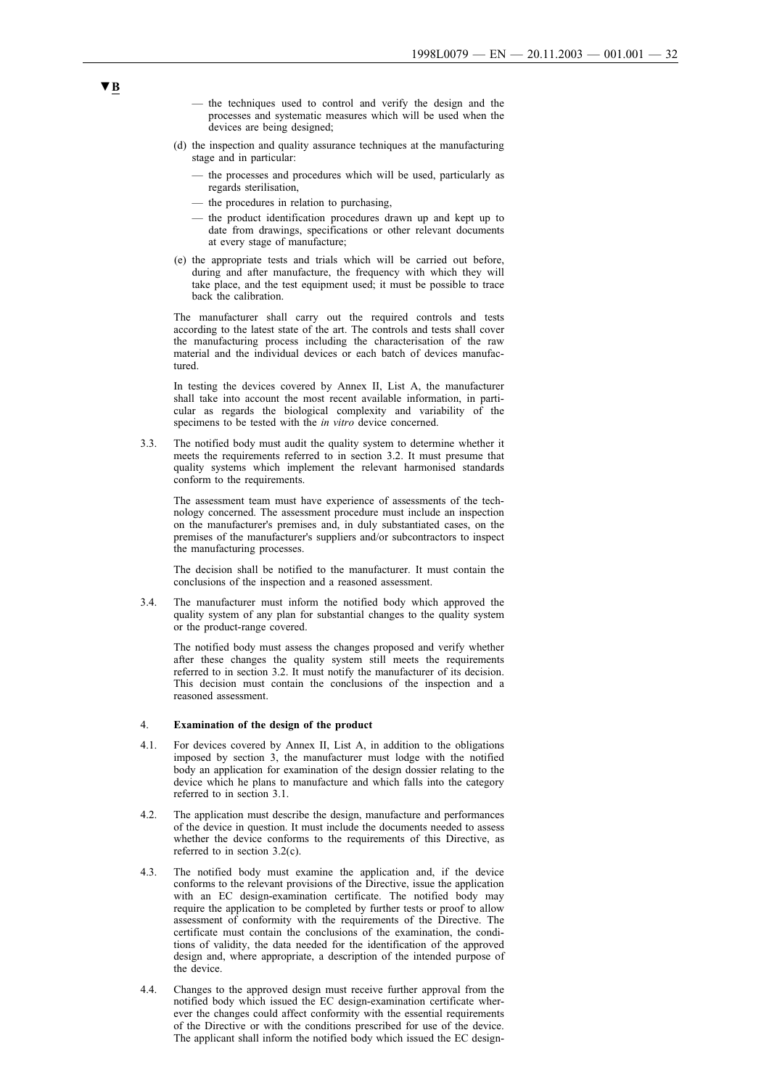- the techniques used to control and verify the design and the processes and systematic measures which will be used when the devices are being designed;
- (d) the inspection and quality assurance techniques at the manufacturing stage and in particular:
	- the processes and procedures which will be used, particularly as regards sterilisation,
	- the procedures in relation to purchasing,
	- the product identification procedures drawn up and kept up to date from drawings, specifications or other relevant documents at every stage of manufacture;
- (e) the appropriate tests and trials which will be carried out before, during and after manufacture, the frequency with which they will take place, and the test equipment used; it must be possible to trace back the calibration.

The manufacturer shall carry out the required controls and tests according to the latest state of the art. The controls and tests shall cover the manufacturing process including the characterisation of the raw material and the individual devices or each batch of devices manufactured.

In testing the devices covered by Annex II, List A, the manufacturer shall take into account the most recent available information, in particular as regards the biological complexity and variability of the specimens to be tested with the *in vitro* device concerned.

3.3. The notified body must audit the quality system to determine whether it meets the requirements referred to in section 3.2. It must presume that quality systems which implement the relevant harmonised standards conform to the requirements.

The assessment team must have experience of assessments of the technology concerned. The assessment procedure must include an inspection on the manufacturer's premises and, in duly substantiated cases, on the premises of the manufacturer's suppliers and/or subcontractors to inspect the manufacturing processes.

The decision shall be notified to the manufacturer. It must contain the conclusions of the inspection and a reasoned assessment.

3.4. The manufacturer must inform the notified body which approved the quality system of any plan for substantial changes to the quality system or the product-range covered.

The notified body must assess the changes proposed and verify whether after these changes the quality system still meets the requirements referred to in section 3.2. It must notify the manufacturer of its decision. This decision must contain the conclusions of the inspection and a reasoned assessment.

#### 4. **Examination of the design of the product**

- 4.1. For devices covered by Annex II, List A, in addition to the obligations imposed by section 3, the manufacturer must lodge with the notified body an application for examination of the design dossier relating to the device which he plans to manufacture and which falls into the category referred to in section 3.1.
- 4.2. The application must describe the design, manufacture and performances of the device in question. It must include the documents needed to assess whether the device conforms to the requirements of this Directive, as referred to in section 3.2(c).
- 4.3. The notified body must examine the application and, if the device conforms to the relevant provisions of the Directive, issue the application with an EC design-examination certificate. The notified body may require the application to be completed by further tests or proof to allow assessment of conformity with the requirements of the Directive. The certificate must contain the conclusions of the examination, the conditions of validity, the data needed for the identification of the approved design and, where appropriate, a description of the intended purpose of the device.
- 4.4. Changes to the approved design must receive further approval from the notified body which issued the EC design-examination certificate wherever the changes could affect conformity with the essential requirements of the Directive or with the conditions prescribed for use of the device. The applicant shall inform the notified body which issued the EC design-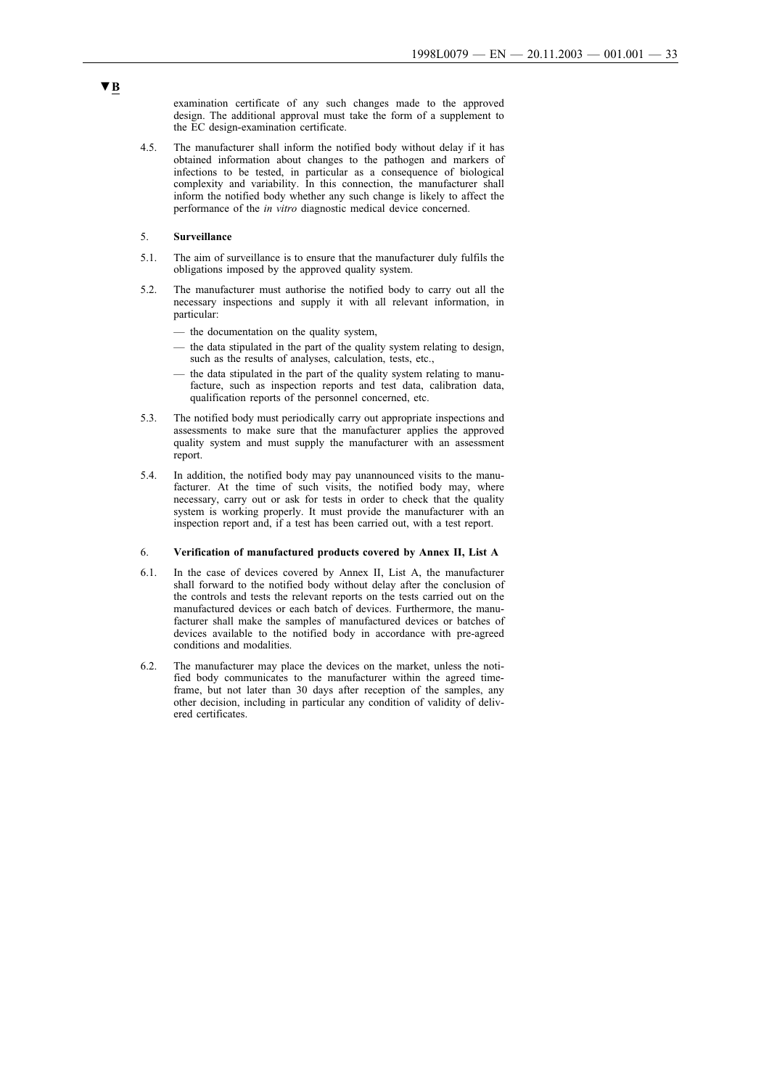examination certificate of any such changes made to the approved design. The additional approval must take the form of a supplement to the EC design-examination certificate.

4.5. The manufacturer shall inform the notified body without delay if it has obtained information about changes to the pathogen and markers of infections to be tested, in particular as a consequence of biological complexity and variability. In this connection, the manufacturer shall inform the notified body whether any such change is likely to affect the performance of the *in vitro* diagnostic medical device concerned.

### 5. **Surveillance**

- 5.1. The aim of surveillance is to ensure that the manufacturer duly fulfils the obligations imposed by the approved quality system.
- 5.2. The manufacturer must authorise the notified body to carry out all the necessary inspections and supply it with all relevant information, in particular:
	- the documentation on the quality system,
	- the data stipulated in the part of the quality system relating to design, such as the results of analyses, calculation, tests, etc.,
	- the data stipulated in the part of the quality system relating to manufacture, such as inspection reports and test data, calibration data, qualification reports of the personnel concerned, etc.
- 5.3. The notified body must periodically carry out appropriate inspections and assessments to make sure that the manufacturer applies the approved quality system and must supply the manufacturer with an assessment report.
- 5.4. In addition, the notified body may pay unannounced visits to the manufacturer. At the time of such visits, the notified body may, where necessary, carry out or ask for tests in order to check that the quality system is working properly. It must provide the manufacturer with an inspection report and, if a test has been carried out, with a test report.

#### 6. **Verification of manufactured products covered by Annex II, List A**

- 6.1. In the case of devices covered by Annex II, List A, the manufacturer shall forward to the notified body without delay after the conclusion of the controls and tests the relevant reports on the tests carried out on the manufactured devices or each batch of devices. Furthermore, the manufacturer shall make the samples of manufactured devices or batches of devices available to the notified body in accordance with pre-agreed conditions and modalities.
- 6.2. The manufacturer may place the devices on the market, unless the notified body communicates to the manufacturer within the agreed timeframe, but not later than 30 days after reception of the samples, any other decision, including in particular any condition of validity of delivered certificates.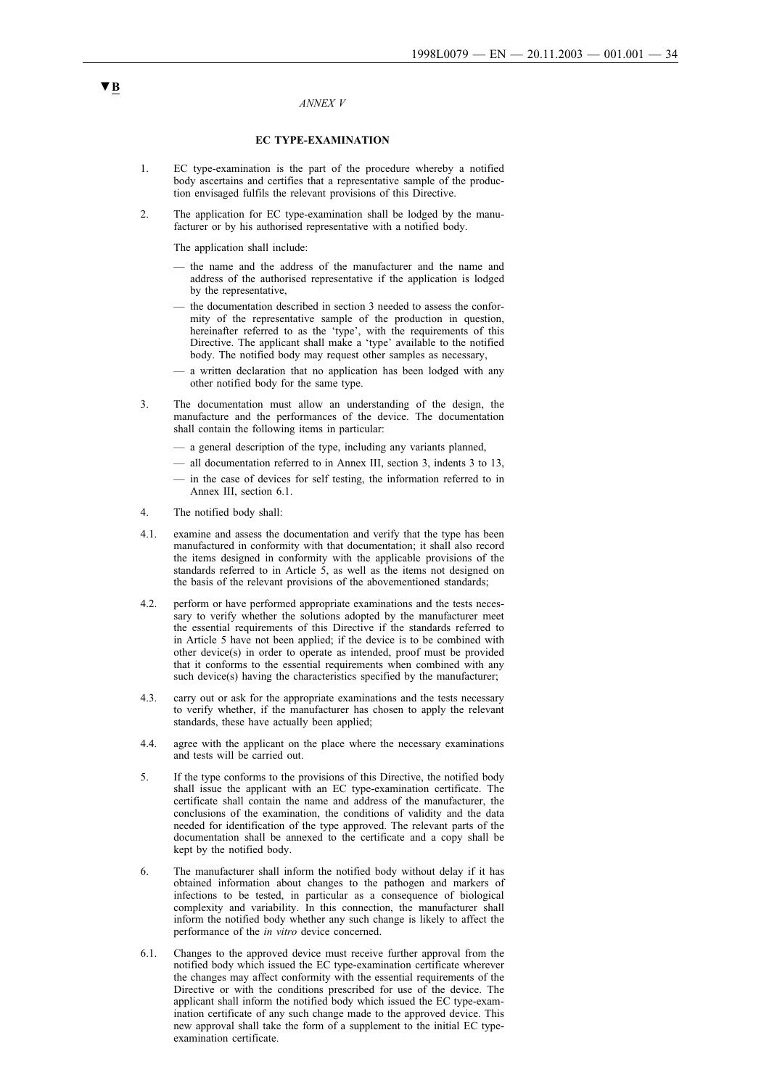#### *ANNEX V*

#### **EC TYPE-EXAMINATION**

- 1. EC type-examination is the part of the procedure whereby a notified body ascertains and certifies that a representative sample of the production envisaged fulfils the relevant provisions of this Directive.
- 2. The application for EC type-examination shall be lodged by the manufacturer or by his authorised representative with a notified body.

The application shall include:

- the name and the address of the manufacturer and the name and address of the authorised representative if the application is lodged by the representative,
- the documentation described in section 3 needed to assess the conformity of the representative sample of the production in question, hereinafter referred to as the 'type', with the requirements of this Directive. The applicant shall make a 'type' available to the notified body. The notified body may request other samples as necessary,
- a written declaration that no application has been lodged with any other notified body for the same type.
- 3. The documentation must allow an understanding of the design, the manufacture and the performances of the device. The documentation shall contain the following items in particular:
	- a general description of the type, including any variants planned,
	- all documentation referred to in Annex III, section 3, indents 3 to 13,
	- in the case of devices for self testing, the information referred to in Annex III, section 6.1.
- 4. The notified body shall:
- 4.1. examine and assess the documentation and verify that the type has been manufactured in conformity with that documentation; it shall also record the items designed in conformity with the applicable provisions of the standards referred to in Article 5, as well as the items not designed on the basis of the relevant provisions of the abovementioned standards;
- 4.2. perform or have performed appropriate examinations and the tests necessary to verify whether the solutions adopted by the manufacturer meet the essential requirements of this Directive if the standards referred to in Article 5 have not been applied; if the device is to be combined with other device(s) in order to operate as intended, proof must be provided that it conforms to the essential requirements when combined with any such device(s) having the characteristics specified by the manufacturer;
- 4.3. carry out or ask for the appropriate examinations and the tests necessary to verify whether, if the manufacturer has chosen to apply the relevant standards, these have actually been applied;
- 4.4. agree with the applicant on the place where the necessary examinations and tests will be carried out.
- 5. If the type conforms to the provisions of this Directive, the notified body shall issue the applicant with an EC type-examination certificate. The certificate shall contain the name and address of the manufacturer, the conclusions of the examination, the conditions of validity and the data needed for identification of the type approved. The relevant parts of the documentation shall be annexed to the certificate and a copy shall be kept by the notified body.
- 6. The manufacturer shall inform the notified body without delay if it has obtained information about changes to the pathogen and markers of infections to be tested, in particular as a consequence of biological complexity and variability. In this connection, the manufacturer shall inform the notified body whether any such change is likely to affect the performance of the *in vitro* device concerned.
- 6.1. Changes to the approved device must receive further approval from the notified body which issued the EC type-examination certificate wherever the changes may affect conformity with the essential requirements of the Directive or with the conditions prescribed for use of the device. The applicant shall inform the notified body which issued the EC type-examination certificate of any such change made to the approved device. This new approval shall take the form of a supplement to the initial EC typeexamination certificate.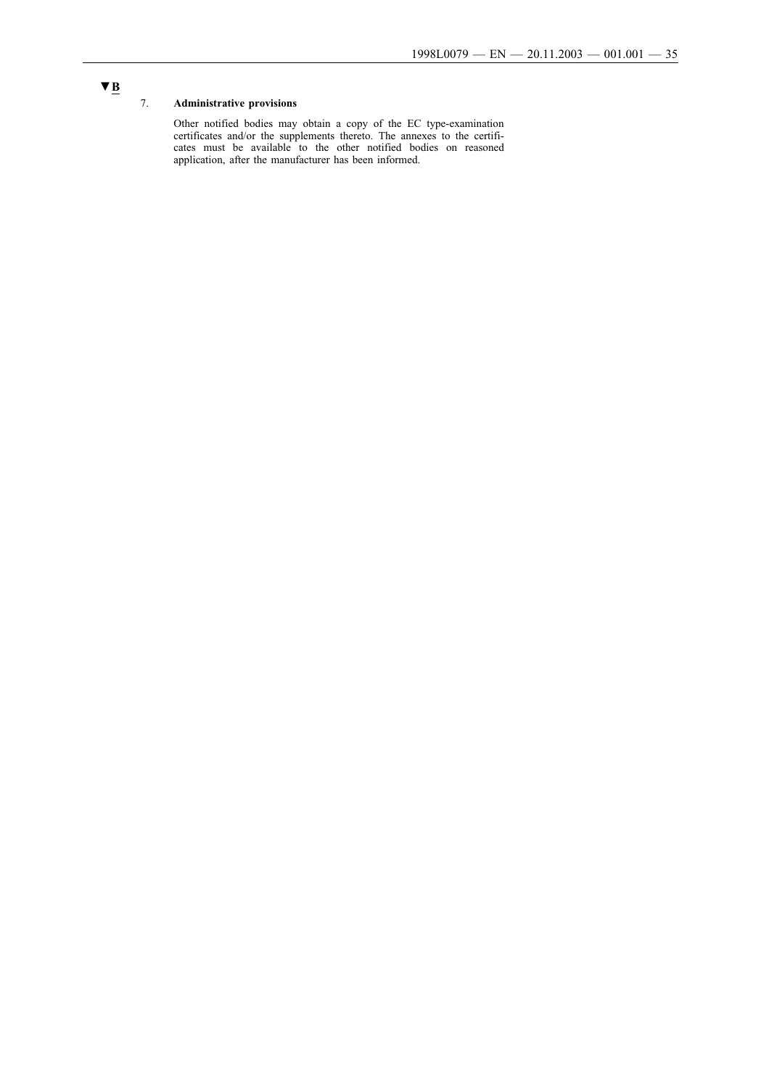## 7. **Administrative provisions**

Other notified bodies may obtain a copy of the EC type-examination certificates and/or the supplements thereto. The annexes to the certificates must be available to the other notified bodies on reasoned application, after the manufacturer has been informed.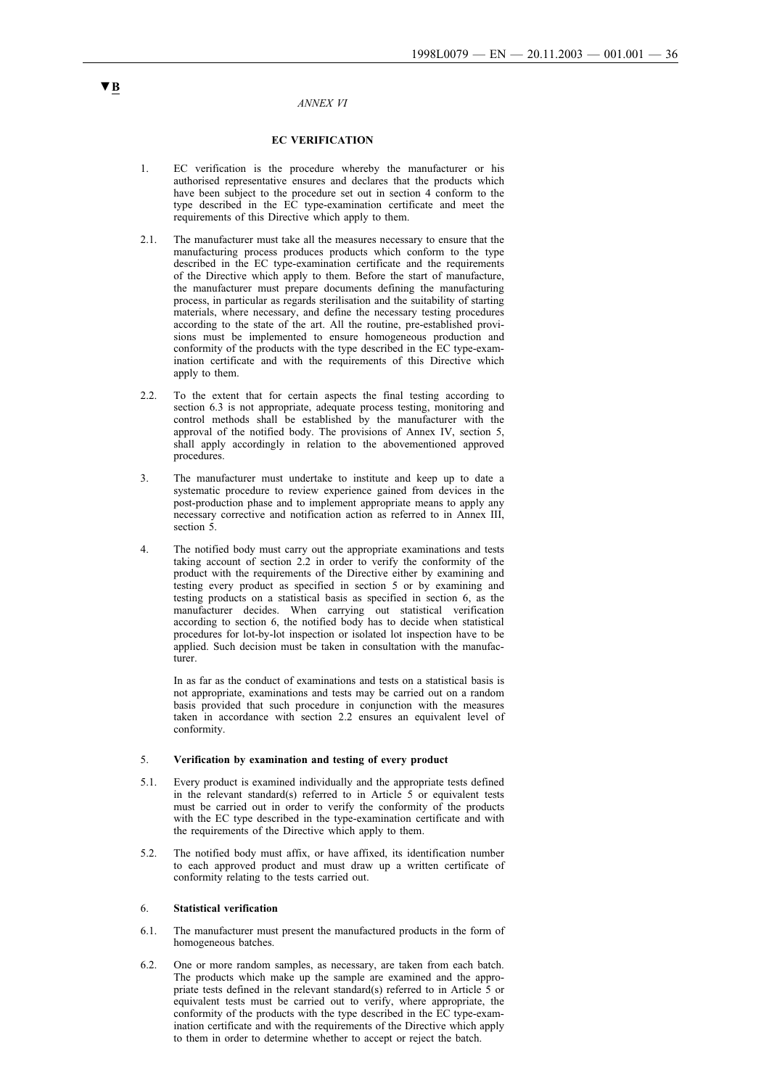#### *ANNEX VI*

#### **EC VERIFICATION**

- 1. EC verification is the procedure whereby the manufacturer or his authorised representative ensures and declares that the products which have been subject to the procedure set out in section 4 conform to the type described in the EC type-examination certificate and meet the requirements of this Directive which apply to them.
- 2.1. The manufacturer must take all the measures necessary to ensure that the manufacturing process produces products which conform to the type described in the EC type-examination certificate and the requirements of the Directive which apply to them. Before the start of manufacture, the manufacturer must prepare documents defining the manufacturing process, in particular as regards sterilisation and the suitability of starting materials, where necessary, and define the necessary testing procedures according to the state of the art. All the routine, pre-established provisions must be implemented to ensure homogeneous production and conformity of the products with the type described in the EC type-examination certificate and with the requirements of this Directive which apply to them.
- 2.2. To the extent that for certain aspects the final testing according to section 6.3 is not appropriate, adequate process testing, monitoring and control methods shall be established by the manufacturer with the approval of the notified body. The provisions of Annex IV, section 5, shall apply accordingly in relation to the abovementioned approved procedures.
- 3. The manufacturer must undertake to institute and keep up to date a systematic procedure to review experience gained from devices in the post-production phase and to implement appropriate means to apply any necessary corrective and notification action as referred to in Annex III, section 5.
- 4. The notified body must carry out the appropriate examinations and tests taking account of section 2.2 in order to verify the conformity of the product with the requirements of the Directive either by examining and testing every product as specified in section 5 or by examining and testing products on a statistical basis as specified in section 6, as the manufacturer decides. When carrying out statistical verification according to section 6, the notified body has to decide when statistical procedures for lot-by-lot inspection or isolated lot inspection have to be applied. Such decision must be taken in consultation with the manufacturer.

In as far as the conduct of examinations and tests on a statistical basis is not appropriate, examinations and tests may be carried out on a random basis provided that such procedure in conjunction with the measures taken in accordance with section 2.2 ensures an equivalent level of conformity.

#### 5. **Verification by examination and testing of every product**

- 5.1. Every product is examined individually and the appropriate tests defined in the relevant standard(s) referred to in Article 5 or equivalent tests must be carried out in order to verify the conformity of the products with the EC type described in the type-examination certificate and with the requirements of the Directive which apply to them.
- 5.2. The notified body must affix, or have affixed, its identification number to eachapproved product and must draw up a written certificate of conformity relating to the tests carried out.

#### 6. **Statistical verification**

- 6.1. The manufacturer must present the manufactured products in the form of homogeneous batches.
- 6.2. One or more random samples, as necessary, are taken from each batch. The products which make up the sample are examined and the appropriate tests defined in the relevant standard(s) referred to in Article 5 or equivalent tests must be carried out to verify, where appropriate, the conformity of the products with the type described in the EC type-examination certificate and with the requirements of the Directive which apply to them in order to determine whether to accept or reject the batch.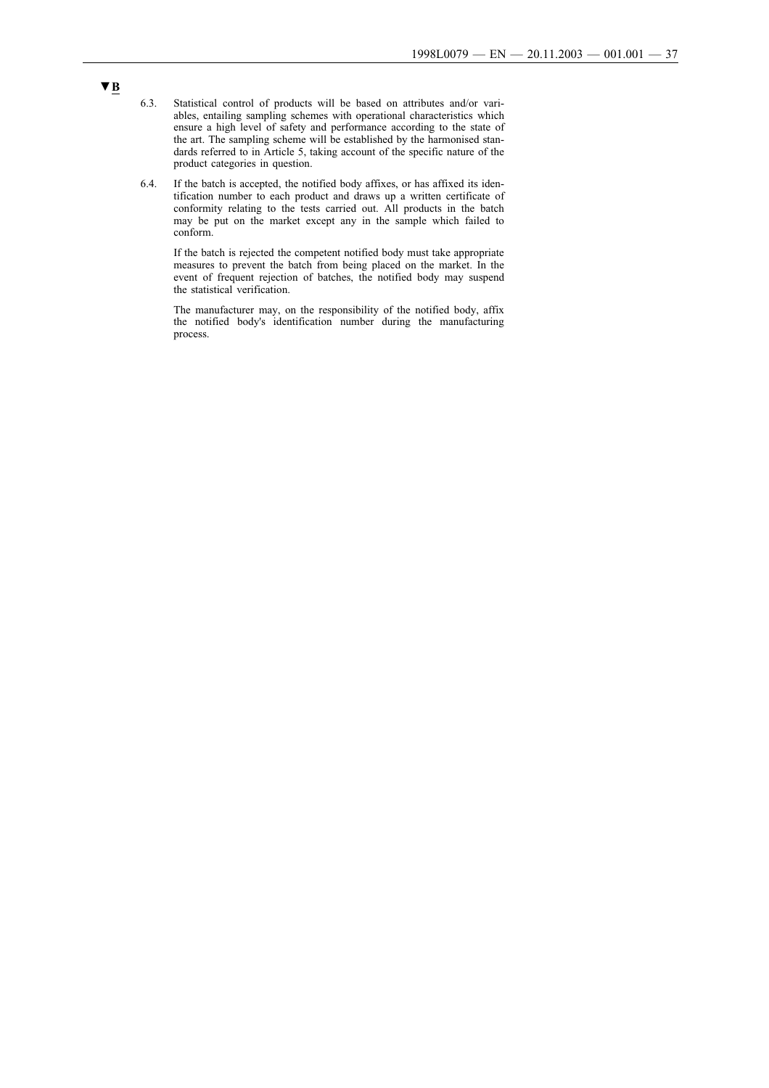- 6.3. Statistical control of products will be based on attributes and/or variables, entailing sampling schemes with operational characteristics which ensure a high level of safety and performance according to the state of the art. The sampling scheme will be established by the harmonised standards referred to in Article 5, taking account of the specific nature of the product categories in question.
- 6.4. If the batch is accepted, the notified body affixes, or has affixed its identification number to each product and draws up a written certificate of conformity relating to the tests carried out. All products in the batch may be put on the market except any in the sample which failed to conform.

If the batch is rejected the competent notified body must take appropriate measures to prevent the batch from being placed on the market. In the event of frequent rejection of batches, the notified body may suspend the statistical verification.

The manufacturer may, on the responsibility of the notified body, affix the notified body's identification number during the manufacturing process.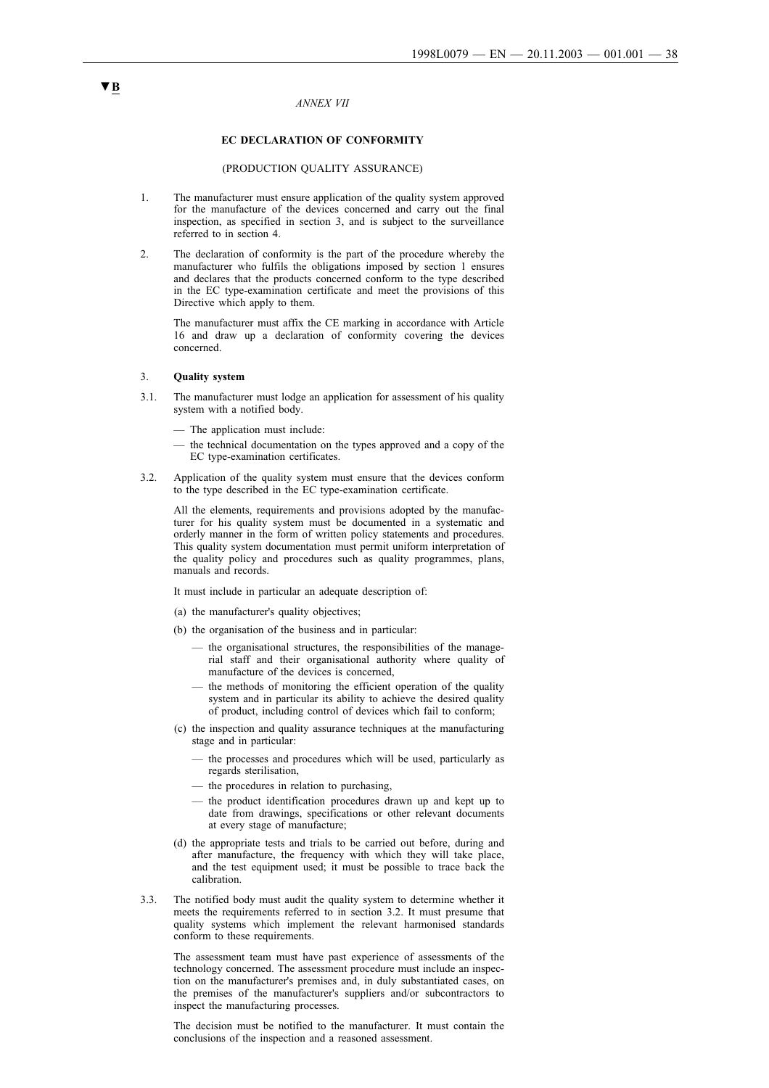#### *ANNEX VII*

### **EC DECLARATION OF CONFORMITY**

#### (PRODUCTION QUALITY ASSURANCE)

- 1. The manufacturer must ensure application of the quality system approved for the manufacture of the devices concerned and carry out the final inspection, as specified in section 3, and is subject to the surveillance referred to in section 4.
- 2. The declaration of conformity is the part of the procedure whereby the manufacturer who fulfils the obligations imposed by section 1 ensures and declares that the products concerned conform to the type described in the EC type-examination certificate and meet the provisions of this Directive which apply to them.

The manufacturer must affix the CE marking in accordance with Article 16 and draw up a declaration of conformity covering the devices concerned.

#### 3. **Quality system**

- 3.1. The manufacturer must lodge an application for assessment of his quality system with a notified body.
	- The application must include:
	- the technical documentation on the types approved and a copy of the EC type-examination certificates.
- 3.2. Application of the quality system must ensure that the devices conform to the type described in the EC type-examination certificate.

All the elements, requirements and provisions adopted by the manufacturer for his quality system must be documented in a systematic and orderly manner in the form of written policy statements and procedures. This quality system documentation must permit uniform interpretation of the quality policy and procedures such as quality programmes, plans, manuals and records.

It must include in particular an adequate description of:

- (a) the manufacturer's quality objectives;
- (b) the organisation of the business and in particular:
	- the organisational structures, the responsibilities of the managerial staff and their organisational authority where quality of manufacture of the devices is concerned,
	- the methods of monitoring the efficient operation of the quality system and in particular its ability to achieve the desired quality of product, including control of devices which fail to conform;
- (c) the inspection and quality assurance techniques at the manufacturing stage and in particular:
	- the processes and procedures which will be used, particularly as regards sterilisation,
	- the procedures in relation to purchasing,
	- the product identification procedures drawn up and kept up to date from drawings, specifications or other relevant documents at every stage of manufacture;
- (d) the appropriate tests and trials to be carried out before, during and after manufacture, the frequency with which they will take place, and the test equipment used; it must be possible to trace back the calibration.
- 3.3. The notified body must audit the quality system to determine whether it meets the requirements referred to in section 3.2. It must presume that quality systems which implement the relevant harmonised standards conform to these requirements.

The assessment team must have past experience of assessments of the technology concerned. The assessment procedure must include an inspection on the manufacturer's premises and, in duly substantiated cases, on the premises of the manufacturer's suppliers and/or subcontractors to inspect the manufacturing processes.

The decision must be notified to the manufacturer. It must contain the conclusions of the inspection and a reasoned assessment.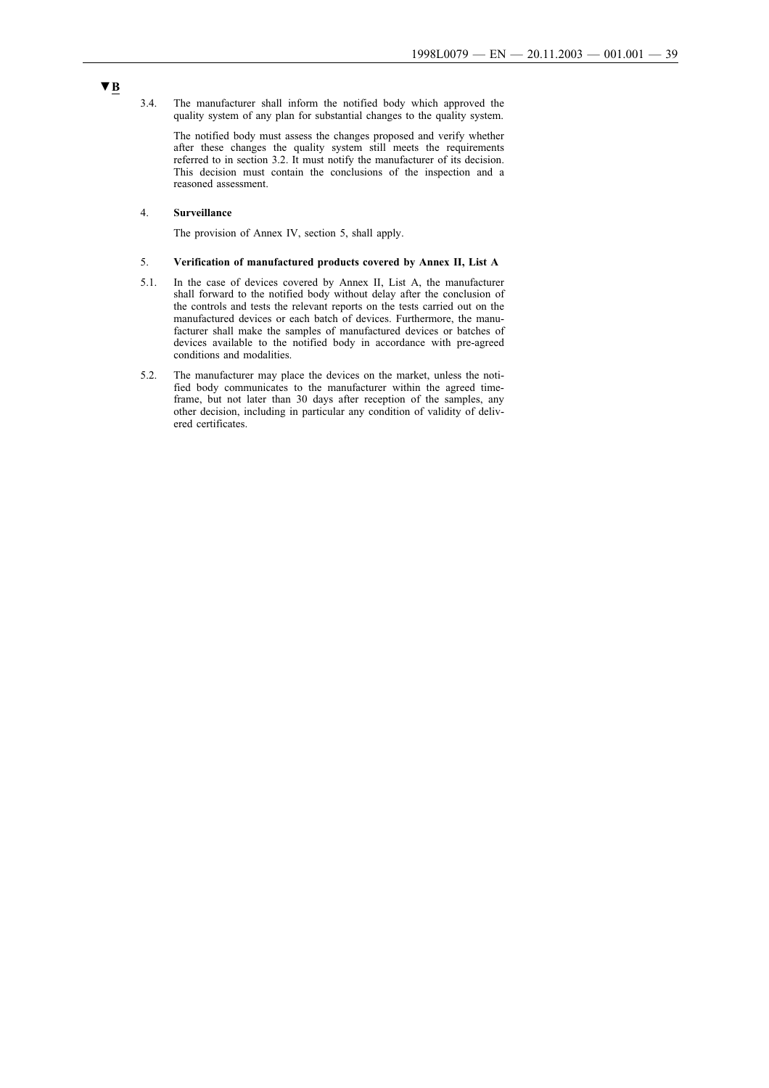3.4. The manufacturer shall inform the notified body which approved the quality system of any plan for substantial changes to the quality system.

The notified body must assess the changes proposed and verify whether after these changes the quality system still meets the requirements referred to in section 3.2. It must notify the manufacturer of its decision. This decision must contain the conclusions of the inspection and a reasoned assessment.

#### 4. **Surveillance**

The provision of Annex IV, section 5, shall apply.

## 5. **Verification of manufactured products covered by Annex II, List A**

- 5.1. In the case of devices covered by Annex II, List A, the manufacturer shall forward to the notified body without delay after the conclusion of the controls and tests the relevant reports on the tests carried out on the manufactured devices or each batch of devices. Furthermore, the manufacturer shall make the samples of manufactured devices or batches of devices available to the notified body in accordance with pre-agreed conditions and modalities.
- 5.2. The manufacturer may place the devices on the market, unless the notified body communicates to the manufacturer within the agreed timeframe, but not later than 30 days after reception of the samples, any other decision, including in particular any condition of validity of delivered certificates.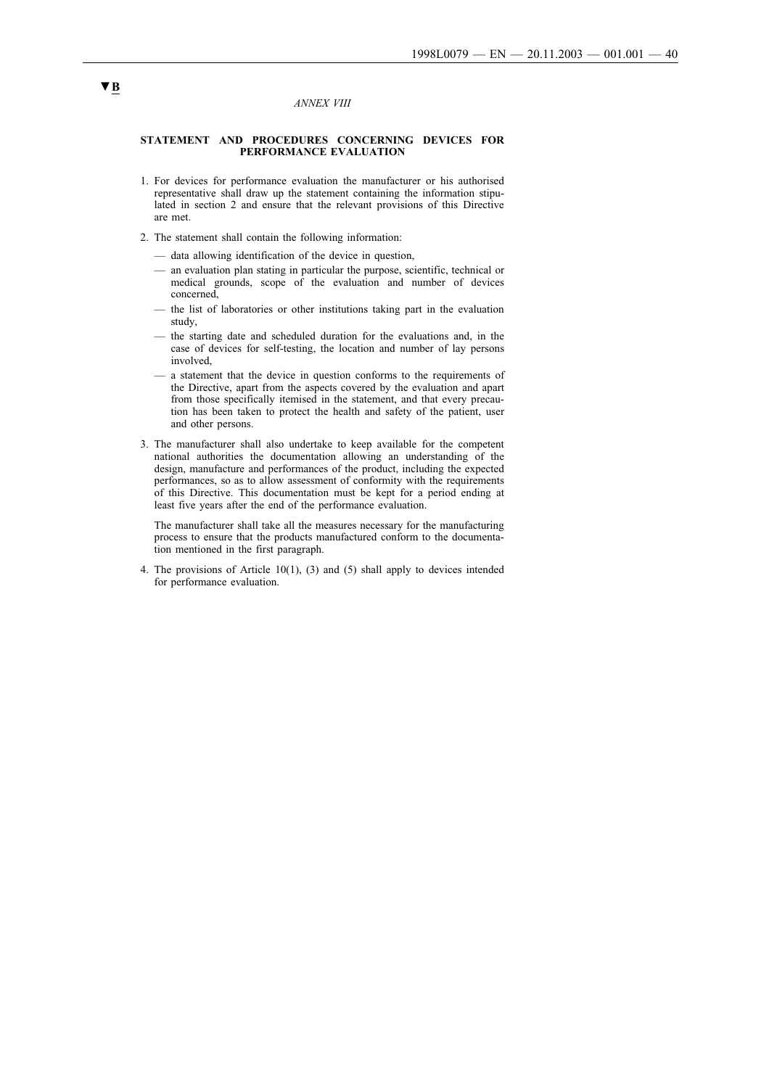#### *ANNEX VIII*

### **STATEMENT AND PROCEDURES CONCERNING DEVICES FOR PERFORMANCE EVALUATION**

- 1. For devices for performance evaluation the manufacturer or his authorised representative shall draw up the statement containing the information stipulated in section 2 and ensure that the relevant provisions of this Directive are met.
- 2. The statement shall contain the following information:
	- data allowing identification of the device in question,
	- an evaluation plan stating in particular the purpose, scientific, technical or medical grounds, scope of the evaluation and number of devices concerned,
	- the list of laboratories or other institutions taking part in the evaluation study,
	- the starting date and scheduled duration for the evaluations and, in the case of devices for self-testing, the location and number of lay persons involved,
	- a statement that the device in question conforms to the requirements of the Directive, apart from the aspects covered by the evaluation and apart from those specifically itemised in the statement, and that every precaution has been taken to protect the health and safety of the patient, user and other persons.
- 3. The manufacturer shall also undertake to keep available for the competent national authorities the documentation allowing an understanding of the design, manufacture and performances of the product, including the expected performances, so as to allow assessment of conformity with the requirements of this Directive. This documentation must be kept for a period ending at least five years after the end of the performance evaluation.

The manufacturer shall take all the measures necessary for the manufacturing process to ensure that the products manufactured conform to the documentation mentioned in the first paragraph.

4. The provisions of Article 10(1), (3) and (5) shall apply to devices intended for performance evaluation.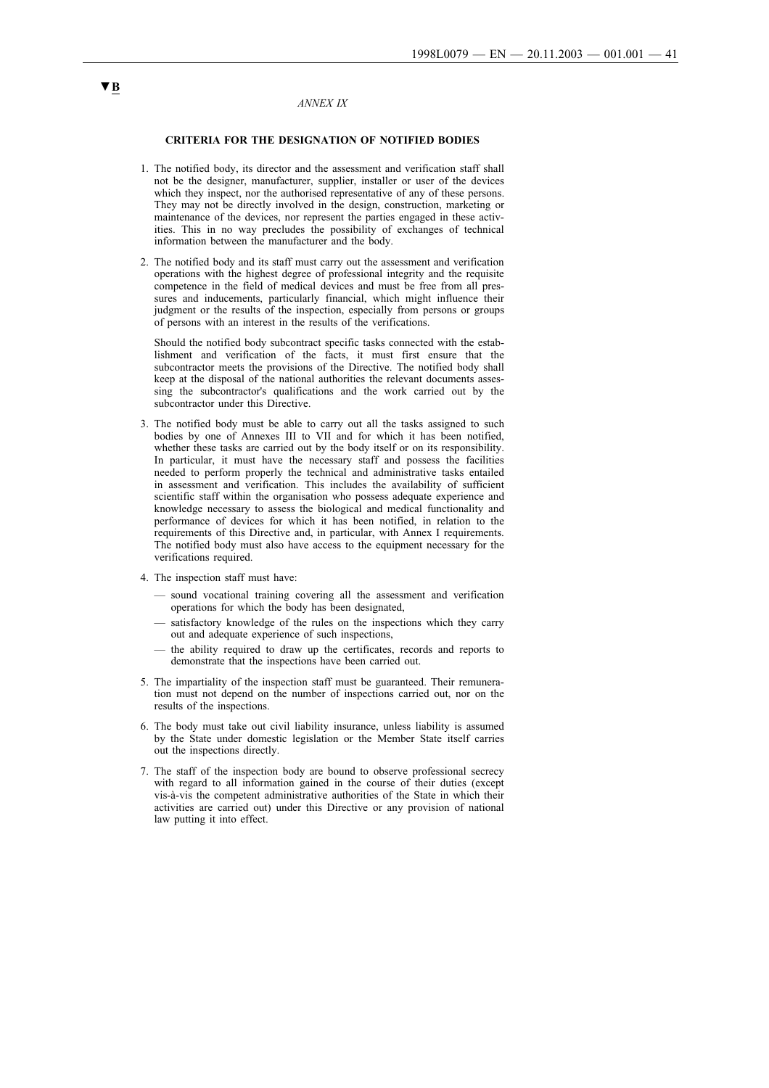#### *ANNEX IX*

#### **CRITERIA FOR THE DESIGNATION OF NOTIFIED BODIES**

- 1. The notified body, its director and the assessment and verification staff shall not be the designer, manufacturer, supplier, installer or user of the devices which they inspect, nor the authorised representative of any of these persons. They may not be directly involved in the design, construction, marketing or maintenance of the devices, nor represent the parties engaged in these activities. This in no way precludes the possibility of exchanges of technical information between the manufacturer and the body.
- 2. The notified body and its staff must carry out the assessment and verification operations with the highest degree of professional integrity and the requisite competence in the field of medical devices and must be free from all pressures and inducements, particularly financial, which might influence their judgment or the results of the inspection, especially from persons or groups of persons with an interest in the results of the verifications.

Should the notified body subcontract specific tasks connected with the establishment and verification of the facts, it must first ensure that the subcontractor meets the provisions of the Directive. The notified body shall keep at the disposal of the national authorities the relevant documents assessing the subcontractor's qualifications and the work carried out by the subcontractor under this Directive.

- 3. The notified body must be able to carry out all the tasks assigned to such bodies by one of Annexes III to VII and for which it has been notified, whether these tasks are carried out by the body itself or on its responsibility. In particular, it must have the necessary staff and possess the facilities needed to perform properly the technical and administrative tasks entailed in assessment and verification. This includes the availability of sufficient scientific staff within the organisation who possess adequate experience and knowledge necessary to assess the biological and medical functionality and performance of devices for which it has been notified, in relation to the requirements of this Directive and, in particular, with Annex I requirements. The notified body must also have access to the equipment necessary for the verifications required.
- 4. The inspection staff must have:
	- sound vocational training covering all the assessment and verification operations for which the body has been designated,
	- satisfactory knowledge of the rules on the inspections which they carry out and adequate experience of such inspections,
	- the ability required to draw up the certificates, records and reports to demonstrate that the inspections have been carried out.
- 5. The impartiality of the inspection staff must be guaranteed. Their remuneration must not depend on the number of inspections carried out, nor on the results of the inspections.
- 6. The body must take out civil liability insurance, unless liability is assumed by the State under domestic legislation or the Member State itself carries out the inspections directly.
- 7. The staff of the inspection body are bound to observe professional secrecy with regard to all information gained in the course of their duties (except vis-à-vis the competent administrative authorities of the State in which their activities are carried out) under this Directive or any provision of national law putting it into effect.